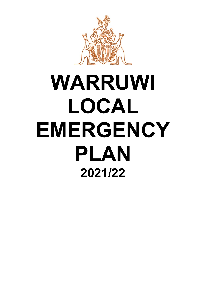

# **WARRUWI LOCAL EMERGENCY PLAN 2021/22**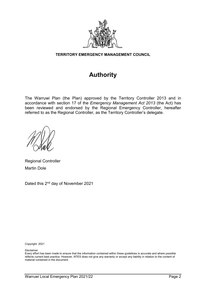

#### **TERRITORY EMERGENCY MANAGEMENT COUNCIL**

## **Authority**

The Warruwi Plan (the Plan) approved by the Territory Controller 2013 and in accordance with section 17 of the *Emergency Management Act 2013* (the Act) has been reviewed and endorsed by the Regional Emergency Controller, hereafter referred to as the Regional Controller, as the Territory Controller's delegate.

Regional Controller Martin Dole

Dated this 2nd day of November 2021

Copyright: 2021

Disclaimer

Every effort has been made to ensure that the information contained within these guidelines is accurate and where possible reflects current best practice. However, NTES does not give any warranty or accept any liability in relation to the content of material contained in the document.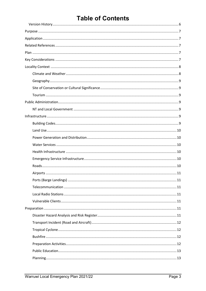## **Table of Contents**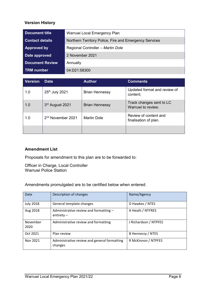#### <span id="page-5-0"></span>**Version History**

| <b>Document title</b>  | Warruwi Local Emergency Plan                           |  |
|------------------------|--------------------------------------------------------|--|
| <b>Contact details</b> | Northern Territory Police, Fire and Emergency Services |  |
| <b>Approved by</b>     | Regional Controller - Martin Dole                      |  |
| Date approved          | 2 November 2021                                        |  |
| <b>Document Review</b> | Annually                                               |  |
| TRM number             | 04:D21:58300                                           |  |

| <b>Version</b> | <b>Date</b>                   | <b>Author</b>         | <b>Comments</b>                                |
|----------------|-------------------------------|-----------------------|------------------------------------------------|
| 1.0            | 25th July 2021                | <b>Brian Hennessy</b> | Updated format and review of<br>content.       |
| 1.0            | 3rd August 2021               | <b>Brian Hennessy</b> | Track changes sent to LC<br>Warruwi to review. |
| 1.0            | 2 <sup>nd</sup> November 2021 | <b>Martin Dole</b>    | Review of content and<br>finalisation of plan. |
|                |                               |                       |                                                |

#### **Amendment List**

Proposals for amendment to this plan are to be forwarded to:

Officer in Charge, Local Controller Warruwi Police Station

Amendments promulgated are to be certified below when entered:

| Date             | Description of changes                                  | Name/Agency           |
|------------------|---------------------------------------------------------|-----------------------|
| <b>July 2018</b> | General template changes                                | D Hawkes / NTES       |
| Aug 2018         | Administrative review and formatting -<br>entirety $-$  | A Heath / NTFRES      |
| November<br>2020 | Administrative review and formatting                    | J Richardson / NTPFES |
| Oct 2021         | Plan review                                             | B Hennessy / NTES     |
| Nov 2021         | Administrative review and general formatting<br>changes | R McKinnon / NTPFES   |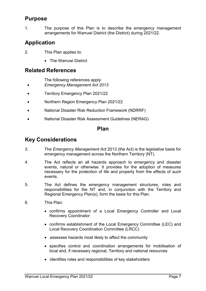## <span id="page-6-0"></span>**Purpose**

1. The purpose of this Plan is to describe the emergency management arrangements for Warruwi District (the District) during 2021/22.

## <span id="page-6-1"></span>**Application**

- 2. This Plan applies to:
	- The Warruwi District

## <span id="page-6-2"></span>**Related References**

The following references apply:

- *Emergency Management Act 2013*
- Territory Emergency Plan 2021/22
- Northern Region Emergency Plan 2021/22
- National Disaster Risk Reduction Framework (NDRRF)
- <span id="page-6-3"></span>• National Disaster Risk Assessment Guidelines (NERAG)

## **Plan**

## <span id="page-6-4"></span>**Key Considerations**

- 3. The *Emergency Management Act* 2013 (the Act) is the legislative basis for emergency management across the Northern Territory (NT).
- 4. The Act reflects an all hazards approach to emergency and disaster events, natural or otherwise. It provides for the adoption of measures necessary for the protection of life and property from the effects of such events.
- 5. The Act defines the emergency management structures, roles and responsibilities for the NT and, in conjunction with the Territory and Regional Emergency Plan(s), form the basis for this Plan.
- 6. This Plan:
	- confirms appointment of a Local Emergency Controller and Local Recovery Coordinator
	- confirms establishment of the Local Emergency Committee (LEC) and Local Recovery Coordination Committee (LRCC)
	- assesses hazards most likely to affect the community
	- specifies control and coordination arrangements for mobilisation of local and, if necessary regional, Territory and national resources
	- identifies roles and responsibilities of key stakeholders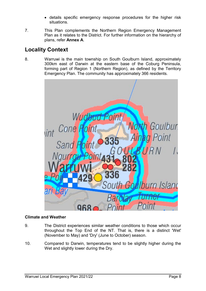- details specific emergency response procedures for the higher risk situations.
- 7. This Plan complements the Northern Region Emergency Management Plan as it relates to the District. For further information on the hierarchy of plans, refer **Annex A**.

## <span id="page-7-0"></span>**Locality Context**

8. Warruwi is the main township on South Goulburn Island, approximately 300km east of Darwin at the eastern base of the Coburg Peninsula, forming part of Region 1 (Northern Region), as defined by the Territory Emergency Plan. The community has approximately 366 residents.



#### <span id="page-7-1"></span>**Climate and Weather**

- 9. The District experiences similar weather conditions to those which occur throughout the Top End of the NT. That is, there is a distinct 'Wet' (November to May) and 'Dry' (June to October) season.
- 10. Compared to Darwin, temperatures tend to be slightly higher during the Wet and slightly lower during the Dry.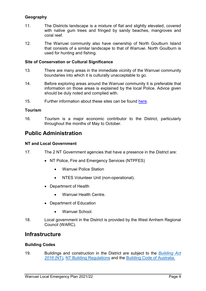#### <span id="page-8-0"></span>**Geography**

- 11. The Districts landscape is a mixture of flat and slightly elevated, covered with native gum trees and fringed by sandy beaches, mangroves and coral reef.
- 12. The Warruwi community also have ownership of North Goulburn Island that consists of a similar landscape to that of Warruwi. North Goulburn is used for hunting and fishing.

#### <span id="page-8-1"></span>**Site of Conservation or Cultural Significance**

- 13. There are many areas in the immediate vicinity of the Warruwi community boundaries into which it is culturally unacceptable to go.
- 14. Before exploring areas around the Warruwi community it is preferable that information on those areas is explained by the local Police. Advice given should be duly noted and complied with.
- 15. Further information about these sites can be found [here.](https://nt.gov.au/environment/environment-data-maps/important-biodiversity-conservation-sites/conservation-significance-list)

#### <span id="page-8-2"></span>**Tourism**

16. Tourism is a major economic contributor to the District, particularly throughout the months of May to October.

## <span id="page-8-3"></span>**Public Administration**

#### <span id="page-8-4"></span>**NT and Local Government**

- 17. The 2 NT Government agencies that have a presence in the District are:
	- NT Police, Fire and Emergency Services (NTPFES)
		- Warruwi Police Station
		- NTES Volunteer Unit (non-operational).
	- Department of Health
		- Warruwi Health Centre.
	- Department of Education
		- Warruwi School.
- 18. Local government in the District is provided by the West Arnhem Regional Council (WARC).

## <span id="page-8-5"></span>**Infrastructure**

#### <span id="page-8-6"></span>**Building Codes**

19. Buildings and construction in the District are subject to the *[Building Act](https://legislation.nt.gov.au/en/Legislation/BUILDING-ACT)  [2016](https://legislation.nt.gov.au/en/Legislation/BUILDING-ACT)* (NT), [NT Building Regulations](https://legislation.nt.gov.au/Legislation/BUILDING-REGULATIONS) and the [Building Code of Australia.](https://www.abcb.gov.au/NCC/About)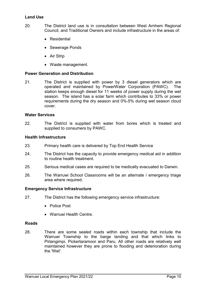#### <span id="page-9-0"></span>**Land Use**

- 20. The District land use is in consultation between West Arnhem Regional Council, and Traditional Owners and include infrastructure in the areas of:
	- Residential
	- Sewerage Ponds
	- Air Strip
	- Waste management.

#### <span id="page-9-1"></span>**Power Generation and Distribution**

21. The District is supplied with power by 3 diesel generators which are operated and maintained by PowerWater Corporation (PAWC). The station keeps enough diesel for 11 weeks of power supply during the wet season. The island has a solar farm which contributes to 33% or power requirements during the dry season and 0%-5% during wet season cloud cover.

#### <span id="page-9-2"></span>**Water Services**

22. The District is supplied with water from bores which is treated and supplied to consumers by PAWC.

#### <span id="page-9-3"></span>**Health Infrastructure**

- 23. Primary health care is delivered by Top End Health Service
- 24. The District has the capacity to provide emergency medical aid in addition to routine health treatment.
- 25. Serious medical cases are required to be medically evacuated to Darwin.
- 26. The Warruwi School Classrooms will be an alternate / emergency triage area where required.

#### <span id="page-9-4"></span>**Emergency Service Infrastructure**

- 27. The District has the following emergency service infrastructure:
	- Police Post
	- Warruwi Health Centre.

#### <span id="page-9-5"></span>**Roads**

28. There are some sealed roads within each township that include the Warruwi Township to the barge landing and that which links to Pirlangimpi, Pickertaramoor and Paru. All other roads are relatively well maintained however they are prone to flooding and deterioration during the 'Wet'.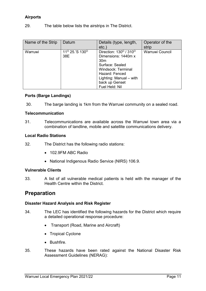#### <span id="page-10-0"></span>**Airports**

29. The table below lists the airstrips in The District.

| Name of the Strip | Datum                                         | Details (type, length,                                                                                                                        | Operator of the |
|-------------------|-----------------------------------------------|-----------------------------------------------------------------------------------------------------------------------------------------------|-----------------|
|                   |                                               | $etc.$ )                                                                                                                                      | strip           |
| Warruwi           | 11 <sup>o</sup> 25.'S 130 <sup>o</sup><br>38E | Direction: $130^{\circ}$ / $\overline{310^{\circ}}$<br>Dimensions: 1440m x<br>30 <sub>m</sub><br>Surface: Sealed<br><b>Windsock: Terminal</b> | Warruwi Council |
|                   |                                               | Hazard: Fenced<br>Lighting: Manual - with<br>back up Genset<br>Fuel Held: Nil                                                                 |                 |

#### <span id="page-10-1"></span>**Ports (Barge Landings)**

30. The barge landing is 1km from the Warruwi community on a sealed road.

#### <span id="page-10-2"></span>**Telecommunication**

31. Telecommunications are available across the Warruwi town area via a combination of landline, mobile and satellite communications delivery.

#### <span id="page-10-3"></span>**Local Radio Stations**

- 32. The District has the following radio stations:
	- 102.9FM ABC Radio
	- National Indigenous Radio Service (NIRS) 106.9.

#### <span id="page-10-4"></span>**Vulnerable Clients**

33. A list of all vulnerable medical patients is held with the manager of the Health Centre within the District.

## <span id="page-10-5"></span>**Preparation**

#### <span id="page-10-6"></span>**Disaster Hazard Analysis and Risk Register**

- 34. The LEC has identified the following hazards for the District which require a detailed operational response procedure:
	- Transport (Road, Marine and Aircraft)
	- Tropical Cyclone
	- Bushfire.
- 35. These hazards have been rated against the National Disaster Risk Assessment Guidelines (NERAG):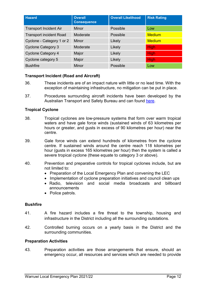| <b>Hazard</b>                  | <b>Overall</b><br><b>Consequence</b> | <b>Overall Likelihood</b> | <b>Risk Rating</b> |
|--------------------------------|--------------------------------------|---------------------------|--------------------|
| <b>Transport Incident Air</b>  | <b>Minor</b>                         | Possible                  | Low                |
| <b>Transport incident Road</b> | Moderate                             | Possible                  | <b>Medium</b>      |
| Cyclone - Category 1 or 2      | Minor                                | Likely                    | <b>Medium</b>      |
| <b>Cyclone Category 3</b>      | Moderate                             | Likely                    | <b>High</b>        |
| <b>Cyclone Category 4</b>      | Major                                | Likely                    | <b>High</b>        |
| Cyclone category 5             | Major                                | Likely                    | <b>High</b>        |
| <b>Bushfire</b>                | <b>Minor</b>                         | Possible                  | Low                |

#### <span id="page-11-0"></span>**Transport Incident (Road and Aircraft)**

- 36. These incidents are of an impact nature with little or no lead time. With the exception of maintaining infrastructure, no mitigation can be put in place.
- 37. Procedures surrounding aircraft incidents have been developed by the Australian Transport and Safety Bureau and can found [here.](https://www.atsb.gov.au/media/1538966/civil_militaryaccidguide_v5.pdf)

#### <span id="page-11-1"></span>**Tropical Cyclone**

- 38. Tropical cyclones are low-pressure systems that form over warm tropical waters and have gale force winds (sustained winds of 63 kilometres per hours or greater, and gusts in excess of 90 kilometres per hour) near the centre.
- 39. Gale force winds can extend hundreds of kilometres from the cyclone centre. If sustained winds around the centre reach 118 kilometres per hour (gusts in excess 165 kilometres per hour) then the system is called a severe tropical cyclone (these equate to category 3 or above).
- 40. Prevention and preparative controls for tropical cyclones include, but are not limited to:
	- Preparation of the Local Emergency Plan and convening the LEC
	- Implementation of cyclone preparation initiatives and council clean ups
	- Radio, television and social media broadcasts and billboard announcements
	- Police patrols.

#### <span id="page-11-2"></span>**Bushfire**

- 41. A fire hazard includes a fire threat to the township, housing and infrastructure in the District including all the surrounding outstations.
- 42. Controlled burning occurs on a yearly basis in the District and the surrounding communities.

#### <span id="page-11-3"></span>**Preparation Activities**

43. Preparation activities are those arrangements that ensure, should an emergency occur, all resources and services which are needed to provide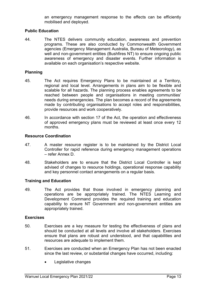an emergency management response to the effects can be efficiently mobilised and deployed.

#### <span id="page-12-0"></span>**Public Education**

44. The NTES delivers community education, awareness and prevention programs. These are also conducted by Commonwealth Government agencies (Emergency Management Australia, Bureau of Meteorology), as well and non-government entities (Bushfires NT) to ensure ongoing public awareness of emergency and disaster events. Further information is available on each organisation's respective website.

#### <span id="page-12-1"></span>**Planning**

- 45. The Act requires Emergency Plans to be maintained at a Territory, regional and local level. Arrangements in plans aim to be flexible and scalable for all hazards. The planning process enables agreements to be reached between people and organisations in meeting communities' needs during emergencies. The plan becomes a record of the agreements made by contributing organisations to accept roles and responsibilities, provide resources and work cooperatively.
- 46. In accordance with section 17 of the Act, the operation and effectiveness of approved emergency plans must be reviewed at least once every 12 months.

#### <span id="page-12-2"></span>**Resource Coordination**

- 47. A master resource register is to be maintained by the District Local Controller for rapid reference during emergency management operations – refer Annex D.
- 48. Stakeholders are to ensure that the District Local Controller is kept advised of changes to resource holdings, operational response capability and key personnel contact arrangements on a regular basis.

#### <span id="page-12-3"></span>**Training and Education**

49. The Act provides that those involved in emergency planning and operations are be appropriately trained. The NTES Learning and Development Command provides the required training and education capability to ensure NT Government and non-government entities are appropriately trained.

#### <span id="page-12-4"></span>**Exercises**

- 50. Exercises are a key measure for testing the effectiveness of plans and should be conducted at all levels and involve all stakeholders. Exercises ensure that plans are robust and understood, and that capabilities and resources are adequate to implement them.
- 51. Exercises are conducted when an Emergency Plan has not been enacted since the last review, or substantial changes have occurred, including:
	- Legislative changes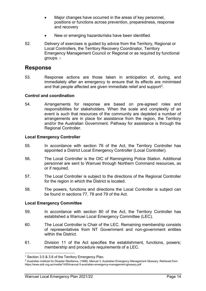- Major changes have occurred in the areas of key personnel, positions or functions across prevention, preparedness, response and recovery
- New or emerging hazards/risks have been identified.
- 52. Delivery of exercises is guided by advice from the Territory, Regional or Local Controllers, the Territory Recovery Coordinator, Territory Emergency Management Council or Regional or as required by functional groups. [1](#page-13-4)

## <span id="page-13-0"></span>**Response**

53. Response actions are those taken in anticipation of, during, and immediately after an emergency to ensure that its effects are minimised and that people affected are given immediate relief and support<sup>2</sup>.

#### <span id="page-13-1"></span>**Control and coordination**

54. Arrangements for response are based on pre-agreed roles and responsibilities for stakeholders. When the scale and complexity of an event is such that resources of the community are depleted a number of arrangements are in place for assistance from the region, the Territory and/or the Australian Government. Pathway for assistance is through the Regional Controller.

#### <span id="page-13-2"></span>**Local Emergency Controller**

- 55. In accordance with section 76 of the Act, the Territory Controller has appointed a District Local Emergency Controller (Local Controller).
- 56. The Local Controller is the OIC of Ramingining Police Station. Additional personnel are sent to Warruwi through Northern Command resources, as or if required.
- 57. The Local Controller is subject to the directions of the Regional Controller for the region in which the District is located.
- 58. The powers, functions and directions the Local Controller is subject can be found in sections 77, 78 and 79 of the Act.

#### <span id="page-13-3"></span>**Local Emergency Committee**

 $\overline{a}$ 

- 59. In accordance with section 80 of the Act, the Territory Controller has established a Warruwi Local Emergency Committee (LEC).
- 60. The Local Controller is Chair of the LEC. Remaining membership consists of representatives from NT Government and non-government entities within the District.
- 61. Division 11 of the Act specifies the establishment, functions, powers; membership and procedure requirements of a LEC.

<span id="page-13-4"></span><sup>1</sup> Section 3.5 & 3.6 of the Territory Emergency Plan.

<span id="page-13-5"></span><sup>2</sup> Australian Institute for Disaster Resilience. (1998). Manual 3, Australian Emergency Management Glossary, Retrieved from https://www.aidr.org.au/media/1430/manual-3-australian-emergency-management-glossary.pdf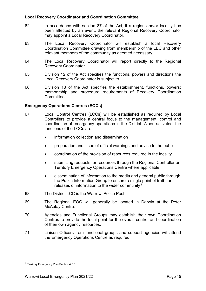#### <span id="page-14-0"></span>**Local Recovery Coordinator and Coordination Committee**

- 62. In accordance with section 87 of the Act, if a region and/or locality has been affected by an event, the relevant Regional Recovery Coordinator may appoint a Local Recovery Coordinator.
- 63. The Local Recovery Coordinator will establish a local Recovery Coordination Committee drawing from membership of the LEC and other relevant members of the community as deemed necessary.
- 64. The Local Recovery Coordinator will report directly to the Regional Recovery Coordinator.
- 65. Division 12 of the Act specifies the functions, powers and directions the Local Recovery Coordinator is subject to.
- 66. Division 13 of the Act specifies the establishment, functions, powers; membership and procedure requirements of Recovery Coordination Committee.

#### <span id="page-14-1"></span>**Emergency Operations Centres (EOCs)**

- 67. Local Control Centres (LCCs) will be established as required by Local Controllers to provide a central focus to the management, control and coordination of emergency operations in the District. When activated, the functions of the LCCs are:
	- information collection and dissemination
	- preparation and issue of official warnings and advice to the public
	- coordination of the provision of resources required in the locality
	- submitting requests for resources through the Regional Controller or Territory Emergency Operations Centre where applicable
	- dissemination of information to the media and general public through the Public Information Group to ensure a single point of truth for releases of information to the wider community $3$
- 68. The District LCC is the Warruwi Police Post.
- 69. The Regional EOC will generally be located in Darwin at the Peter McAulay Centre.
- 70. Agencies and Functional Groups may establish their own Coordination Centres to provide the focal point for the overall control and coordination of their own agency resources.
- 71. Liaison Officers from functional groups and support agencies will attend the Emergency Operations Centre as required.

 $\overline{a}$ 

<span id="page-14-2"></span><sup>3</sup> Territory Emergency Plan Section 4.5.3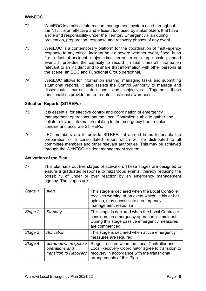#### <span id="page-15-0"></span>**WebEOC**

- 72. WebEOC is a critical information management system used throughout the NT. It is an effective and efficient tool used by stakeholders that have a role and responsibility under the Territory Emergency Plan during prevention, preparation, response and recovery phases of any event.
- 73. WebEOC is a contemporary platform for the coordination of multi-agency response to any critical incident be it a severe weather event, flood, bush fire, industrial accident, major crime, terrorism or a large scale planned event. It provides the capacity to record (in real time) all information relevant to an incident and to share that information with other persons at the scene, an EOC and Functional Group personnel.
- 74. WebEOC allows for information sharing, managing tasks and submitting situational reports. It also assists the Control Authority to manage and disseminate current decisions and objectives. Together these functionalities provide an up-to-date situational awareness.

#### <span id="page-15-1"></span>**Situation Reports (SITREPs)**

- 75. It is essential for effective control and coordination of emergency management operations that the Local Controller is able to gather and collate relevant information relating to the emergency from regular, concise and accurate SITREPs.
- 76. LEC members are to provide SITREPs at agreed times to enable the preparation of a consolidated report which will be distributed to all committee members and other relevant authorities. This may be achieved through the WebEOC incident management system.

#### <span id="page-15-2"></span>**Activation of the Plan**

77. This plan sets out five stages of activation. These stages are designed to ensure a graduated response to hazardous events, thereby reducing the possibility of under or over reaction by an emergency management agency. The stages are:

| Stage 1 | Alert                                                           | This stage is declared when the Local Controller<br>receives warning of an event which, in his or her<br>opinion, may necessitate a emergency<br>management response            |
|---------|-----------------------------------------------------------------|---------------------------------------------------------------------------------------------------------------------------------------------------------------------------------|
| Stage 2 | Standby                                                         | This stage is declared when the Local Controller<br>considers an emergency operation is imminent.<br>During this stage passive emergency measures<br>are commenced              |
| Stage 3 | Activation                                                      | This stage is declared when active emergency<br>measures are required                                                                                                           |
| Stage 4 | Stand-down response<br>operations and<br>transition to Recovery | Stage 4 occurs when the Local Controller and<br>Local Recovery Coordinator agree to transition to<br>recovery in accordance with the transitional<br>arrangements of this Plan. |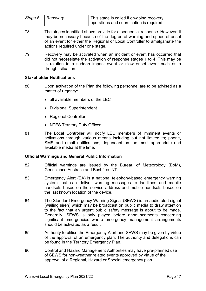| Stage 5   Recovery | This stage is called if on-going recovery |
|--------------------|-------------------------------------------|
|                    |                                           |
|                    | operations and coordination is required.  |

- 78. The stages identified above provide for a sequential response. However, it may be necessary because of the degree of warning and speed of onset of an event for either the Regional or Local Controller to amalgamate the actions required under one stage.
- 79. Recovery may be activated when an incident or event has occurred that did not necessitate the activation of response stages 1 to 4. This may be in relation to a sudden impact event or slow onset event such as a drought situation.

#### <span id="page-16-0"></span>**Stakeholder Notifications**

- 80. Upon activation of the Plan the following personnel are to be advised as a matter of urgency:
	- all available members of the LEC
	- Divisional Superintendent
	- Regional Controller
	- NTES Territory Duty Officer.
- 81. The Local Controller will notify LEC members of imminent events or activations through various means including but not limited to; phone, SMS and email notifications, dependant on the most appropriate and available media at the time.

#### <span id="page-16-1"></span>**Official Warnings and General Public Information**

- 82. Official warnings are issued by the Bureau of Meteorology (BoM), Geoscience Australia and Bushfires NT.
- 83. Emergency Alert (EA) is a national telephony-based emergency warning system that can deliver warning messages to landlines and mobile handsets based on the service address and mobile handsets based on the last known location of the device.
- 84. The Standard Emergency Warning Signal (SEWS) is an audio alert signal (wailing siren) which may be broadcast on public media to draw attention to the fact that an urgent public safety message is about to be made. Generally, SEWS is only played before announcements concerning significant emergencies where emergency management arrangements should be activated as a result.
- 85. Authority to utilise the Emergency Alert and SEWS may be given by virtue of the approval of an emergency plan. The authority and delegations can be found in the Territory Emergency Plan.
- 86. Control and Hazard Management Authorities may have pre-planned use of SEWS for non-weather related events approved by virtue of the approval of a Regional, Hazard or Special emergency plan.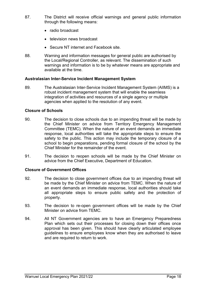- 87. The District will receive official warnings and general public information through the following means:
	- radio broadcast
	- television news broadcast
	- Secure NT internet and Facebook site.
- 88. Warning and information messages for general public are authorised by the Local/Regional Controller, as relevant. The dissemination of such warnings and information is to be by whatever means are appropriate and available at the time.

#### <span id="page-17-0"></span>**Australasian Inter-Service Incident Management System**

89. The Australasian Inter-Service Incident Management System (AIIMS) is a robust incident management system that will enable the seamless integration of activities and resources of a single agency or multiple agencies when applied to the resolution of any event.

#### <span id="page-17-1"></span>**Closure of Schools**

- 90. The decision to close schools due to an impending threat will be made by the Chief Minister on advice from Territory Emergency Management Committee (TEMC). When the nature of an event demands an immediate response, local authorities will take the appropriate steps to ensure the safety to the public. This action may include the temporary closure of a school to begin preparations, pending formal closure of the school by the Chief Minister for the remainder of the event.
- 91. The decision to reopen schools will be made by the Chief Minister on advice from the Chief Executive, Department of Education.

#### <span id="page-17-2"></span>**Closure of Government Offices**

- 92. The decision to close government offices due to an impending threat will be made by the Chief Minister on advice from TEMC. When the nature of an event demands an immediate response, local authorities should take all appropriate steps to ensure public safety and the protection of property.
- 93. The decision to re-open government offices will be made by the Chief Minister on advice from TEMC.
- 94. All NT Government agencies are to have an Emergency Preparedness Plan which sets out their processes for closing down their offices once approval has been given. This should have clearly articulated employee guidelines to ensure employees know when they are authorised to leave and are required to return to work.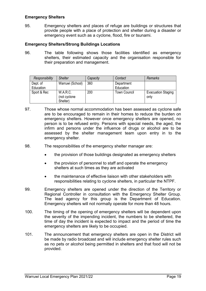#### <span id="page-18-0"></span>**Emergency Shelters**

95. Emergency shelters and places of refuge are buildings or structures that provide people with a place of protection and shelter during a disaster or emergency event such as a cyclone, flood, fire or tsunami.

#### <span id="page-18-1"></span>**Emergency Shelters/Strong Buildings Locations**

96. The table following shows those facilities identified as emergency shelters, their estimated capacity and the organisation responsible for their preparation and management.

| Responsibility        | <b>Shelter</b>                        | Capacity | Contact                 | Remarks                           |
|-----------------------|---------------------------------------|----------|-------------------------|-----------------------------------|
| Dept. of<br>Education | Warruwi (School)                      | 360      | Department<br>Education |                                   |
| Sport & Rec           | W.A.R.C.<br>(not cyclone)<br>Shelter) | 200      | <b>Town Council</b>     | <b>Evacuation Staging</b><br>only |

- 97. Those whose normal accommodation has been assessed as cyclone safe are to be encouraged to remain in their homes to reduce the burden on emergency shelters. However once emergency shelters are opened, no person is to be refused entry. Persons with special needs, the aged, the infirm and persons under the influence of drugs or alcohol are to be assessed by the shelter management team upon entry in to the emergency shelter.
- 98. The responsibilities of the emergency shelter manager are:
	- the provision of those buildings designated as emergency shelters
	- the provision of personnel to staff and operate the emergency shelters at such times as they are activated
	- the maintenance of effective liaison with other stakeholders with responsibilities relating to cyclone shelters, in particular the NTPF.
- 99. Emergency shelters are opened under the direction of the Territory or Regional Controller in consultation with the Emergency Shelter Group. The lead agency for this group is the Department of Education. Emergency shelters will not normally operate for more than 48 hours.
- 100. The timing of the opening of emergency shelters will be dependent upon the severity of the impending incident, the numbers to be sheltered, the time of day the incident is expected to impact and the period of time the emergency shelters are likely to be occupied.
- 101. The announcement that emergency shelters are open in the District will be made by radio broadcast and will include emergency shelter rules such as no pets or alcohol being permitted in shelters and that food will not be provided.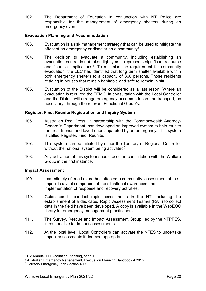102. The Department of Education in conjunction with NT Police are responsible for the management of emergency shelters during an emergency event.

#### <span id="page-19-0"></span>**Evacuation Planning and Accommodation**

- 103. Evacuation is a risk management strategy that can be used to mitigate the effect of an emergency or disaster on a community<sup>[4](#page-19-3)</sup>
- 104. The decision to evacuate a community, including establishing an evacuation centre, is not taken lightly as it represents significant resource and financial implications<sup>5</sup>. To minimise the requirement for community evacuation, the LEC has identified that long term shelter available within both emergency shelters to a capacity of 360 persons. Those residents residing in houses that remain habitable and safe to remain in situ.
- 105. Evacuation of the District will be considered as a last resort. Where an evacuation is required the TEMC, in consultation with the Local Controller and the District will arrange emergency accommodation and transport, as necessary, through the relevant Functional Group/s.

#### <span id="page-19-1"></span>**Register. Find. Reunite Registration and Inquiry System**

- 106. Australian Red Cross, in partnership with the Commonwealth Attorney-General's Department, has developed an improved system to help reunite families, friends and loved ones separated by an emergency. This system is called Register. Find. Reunite.
- 107. This system can be initiated by either the Territory or Regional Controller without the national system being activated<sup>6</sup>.
- 108. Any activation of this system should occur in consultation with the Welfare Group in the first instance.

#### <span id="page-19-2"></span>**Impact Assessment**

- 109. Immediately after a hazard has affected a community, assessment of the impact is a vital component of the situational awareness and implementation of response and recovery activities.
- 110. Guidelines to conduct rapid assessments in the NT, including the establishment of a dedicated Rapid Assessment Team/s (RAT) to collect data in the field have been developed. A copy is available in the WebEOC library for emergency management practitioners.
- 111. The Survey, Rescue and Impact Assessment Group, led by the NTPFES, is responsible for impact assessments.
- 112. At the local level, Local Controllers can activate the NTES to undertake impact assessments if deemed appropriate.

**.** 

<span id="page-19-3"></span><sup>4</sup> EM Manual 11 Evacuation Planning, page 1

<span id="page-19-4"></span><sup>5</sup> Australian Emergency Management, Evacuation Planning Handbook 4 2013

<span id="page-19-5"></span><sup>6</sup> Territory Emergency Plan Section 4.17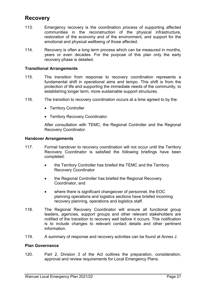## <span id="page-20-0"></span>**Recovery**

- 113. Emergency recovery is the coordination process of supporting affected communities in the reconstruction of the physical infrastructure, restoration of the economy and of the environment, and support for the emotional and physical wellbeing of those affected.
- 114. Recovery is often a long term process which can be measured in months, years or even decades. For the purpose of this plan only the early recovery phase is detailed.

#### <span id="page-20-1"></span>**Transitional Arrangements**

- 115. The transition from response to recovery coordination represents a fundamental shift in operational aims and tempo. This shift is from the protection of life and supporting the immediate needs of the community, to establishing longer term, more sustainable support structures.
- 116. The transition to recovery coordination occurs at a time agreed to by the:
	- Territory Controller
	- Territory Recovery Coordinator.

After consultation with TEMC, the Regional Controller and the Regional Recovery Coordinator.

#### <span id="page-20-2"></span>**Handover Arrangements**

- 117. Formal handover to recovery coordination will not occur until the Territory Recovery Coordinator is satisfied the following briefings have been completed:
	- the Territory Controller has briefed the TEMC and the Territory Recovery Coordinator
	- the Regional Controller has briefed the Regional Recovery Coordinator, and
	- where there is significant changeover of personnel, the EOC planning operations and logistics sections have briefed incoming recovery planning, operations and logistics staff.
- 118. The Regional Recovery Coordinator will ensure all functional group leaders, agencies, support groups and other relevant stakeholders are notified of the transition to recovery well before it occurs. This notification is to include changes to relevant contact details and other pertinent information.
- <span id="page-20-3"></span>119. A summary of response and recovery activities can be found at Annex J.

#### **Plan Governance**

120. Part 2, Division 3 of the Act outlines the preparation, consideration, approval and review requirements for Local Emergency Plans.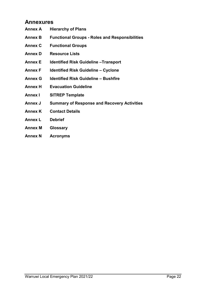## <span id="page-21-0"></span>**Annexures**

- **Annex A Hierarchy of Plans**
- **Annex B Functional Groups - Roles and Responsibilities**
- **Annex C Functional Groups**
- **Annex D Resource Lists**
- **Annex E Identified Risk Guideline –Transport**
- **Annex F Identified Risk Guideline – Cyclone**
- **Annex G Identified Risk Guideline – Bushfire**
- **Annex H Evacuation Guideline**
- **Annex I SITREP Template**
- **Annex J Summary of Response and Recovery Activities**
- **Annex K Contact Details**
- **Annex L Debrief**
- **Annex M Glossary**
- **Annex N Acronyms**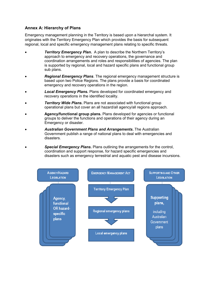#### <span id="page-22-0"></span>**Annex A: Hierarchy of Plans**

Emergency management planning in the Territory is based upon a hierarchal system. It originates with the Territory Emergency Plan which provides the basis for subsequent regional, local and specific emergency management plans relating to specific threats.

- *Territory Emergency Plan.* A plan to describe the Northern Territory's approach to emergency and recovery operations, the governance and coordination arrangements and roles and responsibilities of agencies. The plan is supported by regional, local and hazard specific plans and functional group sub plans.
- *Regional Emergency Plans*. The regional emergency management structure is based upon two Police Regions. The plans provide a basis for coordinated emergency and recovery operations in the region.
- *Local Emergency Plans***.** Plans developed for coordinated emergency and recovery operations in the identified locality.
- *Territory Wide Plans***.** Plans are not associated with functional group operational plans but cover an all hazard/all agency/all regions approach.
- **Agency/functional group plans.** Plans developed for agencies or functional groups to deliver the functions and operations of their agency during an Emergency or disaster.
- *Australian Government Plans and Arrangements***.** The Australian Government publish a range of national plans to deal with emergencies and disasters.
- *Special Emergency Plans***.** Plans outlining the arrangements for the control, coordination and support response, for hazard specific emergencies and disasters such as emergency terrestrial and aquatic pest and disease incursions.

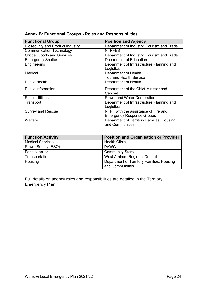<span id="page-23-0"></span>

| Annex B: Functional Groups - Roles and Responsibilities |  |  |
|---------------------------------------------------------|--|--|
|---------------------------------------------------------|--|--|

| <b>Functional Group</b>                 | <b>Position and Agency</b>                |
|-----------------------------------------|-------------------------------------------|
| <b>Biosecurity and Product Industry</b> | Department of Industry, Tourism and Trade |
| <b>Communication Technology</b>         | <b>NTPFES</b>                             |
| <b>Critical Goods and Services</b>      | Department of Industry, Tourism and Trade |
| <b>Emergency Shelter</b>                | Department of Education                   |
| Engineering                             | Department of Infrastructure Planning and |
|                                         | Logistics                                 |
| Medical                                 | Department of Health                      |
|                                         | <b>Top End Health Service</b>             |
| <b>Public Health</b>                    | Department of Health                      |
| <b>Public Information</b>               | Department of the Chief Minister and      |
|                                         | Cabinet                                   |
| <b>Public Utilities</b>                 | Power and Water Corporation               |
| Transport                               | Department of Infrastructure Planning and |
|                                         | Logistics                                 |
| <b>Survey and Rescue</b>                | NTPF with the assistance of Fire and      |
|                                         | <b>Emergency Response Groups</b>          |
| Welfare                                 | Department of Territory Families, Housing |
|                                         | and Communities                           |

| <b>Function/Activity</b> | <b>Position and Organisation or Provider</b> |
|--------------------------|----------------------------------------------|
| <b>Medical Services</b>  | <b>Health Clinic</b>                         |
| Power Supply (ESO)       | <b>PAWC</b>                                  |
| Food supplier            | <b>Community Store</b>                       |
| Transportation           | West Arnhem Regional Council                 |
| Housing                  | Department of Territory Families, Housing    |
|                          | and Communities                              |

Full details on agency roles and responsibilities are detailed in the Territory Emergency Plan.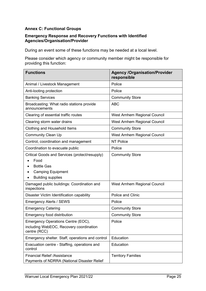#### <span id="page-24-0"></span>**Annex C: Functional Groups**

#### **Emergency Response and Recovery Functions with Identified Agencies/Organisation/Provider**

During an event some of these functions may be needed at a local level.

Please consider which agency or community member might be responsible for providing this function:

| <b>Functions</b>                                                                                                                         | <b>Agency /Organisation/Provider</b><br>responsible |
|------------------------------------------------------------------------------------------------------------------------------------------|-----------------------------------------------------|
| Animal / Livestock Management                                                                                                            | Police                                              |
| Anti-looting protection                                                                                                                  | Police                                              |
| <b>Banking Services</b>                                                                                                                  | <b>Community Store</b>                              |
| Broadcasting: What radio stations provide<br>announcements                                                                               | <b>ABC</b>                                          |
| Clearing of essential traffic routes                                                                                                     | West Arnhem Regional Council                        |
| Clearing storm water drains                                                                                                              | West Arnhem Regional Council                        |
| Clothing and Household Items                                                                                                             | <b>Community Store</b>                              |
| <b>Community Clean Up</b>                                                                                                                | West Arnhem Regional Council                        |
| Control, coordination and management                                                                                                     | <b>NT Police</b>                                    |
| Coordination to evacuate public                                                                                                          | Police                                              |
| Critical Goods and Services (protect/resupply)<br>Food<br><b>Bottle Gas</b><br><b>Camping Equipment</b><br><b>Building supplies</b><br>٠ | <b>Community Store</b>                              |
| Damaged public buildings: Coordination and<br>inspections                                                                                | West Arnhem Regional Council                        |
| Disaster Victim Identification capability                                                                                                | Police and Clinic                                   |
| <b>Emergency Alerts / SEWS</b>                                                                                                           | Police                                              |
| <b>Emergency Catering</b>                                                                                                                | <b>Community Store</b>                              |
| <b>Emergency food distribution</b>                                                                                                       | <b>Community Store</b>                              |
| Emergency Operations Centre (EOC),<br>including WebEOC, Recovery coordination<br>centre (RCC)                                            | Police                                              |
| Emergency shelter. Staff, operations and control                                                                                         | Education                                           |
| Evacuation centre - Staffing, operations and<br>control                                                                                  | Education                                           |
| <b>Financial Relief /Assistance</b><br>Payments of NDRRA (National Disaster Relief                                                       | <b>Territory Families</b>                           |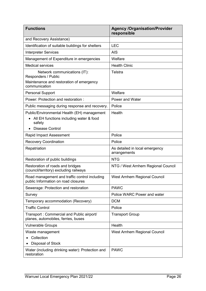| <b>Functions</b>                                                                                                           | <b>Agency /Organisation/Provider</b><br>responsible |
|----------------------------------------------------------------------------------------------------------------------------|-----------------------------------------------------|
| and Recovery Assistance)                                                                                                   |                                                     |
| Identification of suitable buildings for shelters                                                                          | <b>LEC</b>                                          |
| <b>Interpreter Services</b>                                                                                                | <b>AIS</b>                                          |
| Management of Expenditure in emergencies                                                                                   | Welfare                                             |
| <b>Medical services</b>                                                                                                    | <b>Health Clinic</b>                                |
| Network communications (IT):<br>Responders / Public<br>Maintenance and restoration of emergency<br>communication           | Telstra                                             |
| <b>Personal Support</b>                                                                                                    | Welfare                                             |
| Power: Protection and restoration:                                                                                         | Power and Water                                     |
| Public messaging during response and recovery.                                                                             | Police                                              |
| Public/Environmental Health (EH) management<br>All EH functions including water & food<br>safety<br><b>Disease Control</b> | Health                                              |
| <b>Rapid Impact Assessment</b>                                                                                             | Police                                              |
| <b>Recovery Coordination</b>                                                                                               | Police                                              |
| Repatriation                                                                                                               | As detailed in local emergency<br>arrangements      |
| Restoration of public buildings                                                                                            | <b>NTG</b>                                          |
| Restoration of roads and bridges<br>(council/territory) excluding railways                                                 | NTG / West Arnhem Regional Council                  |
| Road management and traffic control including<br>public Information on road closures                                       | West Arnhem Regional Council                        |
| Sewerage: Protection and restoration                                                                                       | <b>PAWC</b>                                         |
| Survey                                                                                                                     | Police WARC Power and water                         |
| Temporary accommodation (Recovery)                                                                                         | <b>DCM</b>                                          |
| <b>Traffic Control</b>                                                                                                     | Police                                              |
| Transport: Commercial and Public airport/<br>planes, automobiles, ferries, buses                                           | <b>Transport Group</b>                              |
| <b>Vulnerable Groups</b>                                                                                                   | Health                                              |
| Waste management                                                                                                           | West Arnhem Regional Council                        |
| Collection                                                                                                                 |                                                     |
| Disposal of Stock                                                                                                          |                                                     |
| Water (including drinking water): Protection and<br>restoration                                                            | <b>PAWC</b>                                         |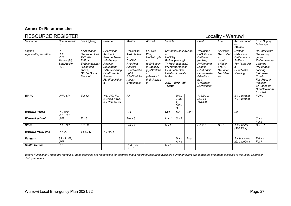#### **Annex D: Resource List**

## RESOURCE REGISTER **Locality - Warruwi**

| Resource                      | Communicatio<br>ns                                                   | <b>Fire Fighting</b>                                                                                                                 | Rescue                                                                                                                                 | <b>Medical</b>                                                                                                                                | Aircraft                                                                                                                | Vehicles                                        |                                                                                                                                     |      | Plant                                                                                                                                                  | Fuel                                                                                                        | Accommodati<br>on<br>/Shelter                                                            | Food Supply<br>& Storage                                                                                                                                                              |
|-------------------------------|----------------------------------------------------------------------|--------------------------------------------------------------------------------------------------------------------------------------|----------------------------------------------------------------------------------------------------------------------------------------|-----------------------------------------------------------------------------------------------------------------------------------------------|-------------------------------------------------------------------------------------------------------------------------|-------------------------------------------------|-------------------------------------------------------------------------------------------------------------------------------------|------|--------------------------------------------------------------------------------------------------------------------------------------------------------|-------------------------------------------------------------------------------------------------------------|------------------------------------------------------------------------------------------|---------------------------------------------------------------------------------------------------------------------------------------------------------------------------------------|
| Legend<br>Agency/Organisation | HF<br><b>UHF</b><br><b>VHF</b><br>Marine (M)<br>Satellite Ph<br>(SP) | A=Appliance<br>D=Dropon Unit<br>$T = Trailer$<br>F=Foam<br>E=Extinguisher<br>$(4.5kg$ and<br>above)<br>GFU-Grass<br><b>Fire Unit</b> | RAR=Road<br>Accident<br>Rescue Team<br>HE=Heavy<br>Rescue<br>Equipment<br>WS=Workshop<br>PG=Portable<br>Genset<br>FL=Floodlightin<br>g | H=Hospital<br>A=Ambulanc<br>е<br>C=Clinic<br>F/A=First<br>Aid Kits<br>SF=Stretche<br>$r$ (fld)<br>SB=Stretche<br>r-(bsk)<br><b>B=Blankets</b> | F=Fixed<br>Wing<br>H=Helicopte<br>$(oo) =$ Seatin<br>g Capacity<br>$(s)$ =Stretche<br>$(w) =$ Winch<br>(kg)=Payloa<br>d | n<br>$U = U$ tilitv<br>tanker<br><b>Terrain</b> | S=Sedan/Stationwago<br>B=Bus (seating)<br>T=Truck (capacity)<br>WT=Water tanker<br>FT=Fuel tanker<br>LW=Liquid waste<br>2WD 4WD All |      | $T = Tractor$<br>B=Bulldozer<br>C=Crane<br>(mobile)<br>F=Frontend<br>Loader<br>F/L=Forklift<br>L=Lowloader<br>B/H=Back<br>hoe<br>G=Grader<br>BC=Bobcat | $A = A \vee gas$<br>D=Distillat<br>e<br>$J = Jet$<br>aviation<br>$L = LPG$<br>S=Super<br>$U =$ Unlead<br>ed | B=Beds<br>R=Rooms<br>C=Caravans<br>$T = Tents$<br>Tp=Tarpaulin<br>PS=Plastic<br>sheeting | R=Retail store<br>B=Bulk dry<br>aoods<br>K=Commercial<br>Catering<br>P=Portable<br>cooking<br>F=Freezer<br>(fixed)<br>Fm=Freezer<br>(mobile)<br>C=Coolroom<br>Cm=Coolroom<br>(mobile) |
| <b>WARC</b>                   | UHF, SP                                                              | E x 12                                                                                                                               | WS, PG, FL,<br>2 Chain Saws.<br>3 x Pole Saws.                                                                                         | FA                                                                                                                                            |                                                                                                                         |                                                 | $U(3)$ ,<br>T(3)2<br>2.<br>500K<br>G                                                                                                |      | T. B/H. G.<br>BC, TIP<br>TRUCK.                                                                                                                        |                                                                                                             | $2 \times 2$ b/room.<br>$1 \times 3$ b/room.                                             | F,FM,                                                                                                                                                                                 |
| <b>Warruwi Police</b>         | HF. UHF.<br>VHF, SP                                                  |                                                                                                                                      |                                                                                                                                        | F/A                                                                                                                                           |                                                                                                                         | Ux1                                             | Sx1                                                                                                                                 | Boat |                                                                                                                                                        |                                                                                                             | Bx3                                                                                      |                                                                                                                                                                                       |
| <b>Warruwi school</b>         | <b>UHF</b>                                                           | $E \times 6$                                                                                                                         |                                                                                                                                        | $F/A \times 3$                                                                                                                                |                                                                                                                         | $U \times 1$                                    | $S \times 2$                                                                                                                        |      |                                                                                                                                                        |                                                                                                             |                                                                                          | Cx1<br>Fx3                                                                                                                                                                            |
| <b>Store</b>                  | UHF. SP                                                              | E x 20                                                                                                                               |                                                                                                                                        | $F/A \times 2$                                                                                                                                |                                                                                                                         | $S \times 1$                                    |                                                                                                                                     |      | $F/L \times 2$                                                                                                                                         | D, U                                                                                                        | 1 X Shelter<br>(360 PAX)                                                                 | C, F, R                                                                                                                                                                               |
| <b>Warruwi NTES Unit</b>      | UHFx2                                                                | 1 x GFU                                                                                                                              | 1 x RAR                                                                                                                                |                                                                                                                                               |                                                                                                                         |                                                 |                                                                                                                                     |      |                                                                                                                                                        |                                                                                                             |                                                                                          |                                                                                                                                                                                       |
| <b>Rangers</b>                | SPx2, HF,<br><b>UHF</b>                                              |                                                                                                                                      |                                                                                                                                        |                                                                                                                                               |                                                                                                                         |                                                 | $U \times 1$<br>Atv 1                                                                                                               | Boat |                                                                                                                                                        |                                                                                                             | $\overline{Tx}$ 9, swags<br>x9, qazebo x1                                                | $FM \times 1$<br>Fx1                                                                                                                                                                  |
| <b>Health Centre</b>          | $S\overline{P}$                                                      |                                                                                                                                      |                                                                                                                                        | H. A. F/A.<br>SF, SB                                                                                                                          |                                                                                                                         | $U \times 1$                                    |                                                                                                                                     |      |                                                                                                                                                        |                                                                                                             |                                                                                          |                                                                                                                                                                                       |

<span id="page-26-0"></span>*Where Functional Groups are identified, those agencies are responsible for ensuring that a record of resources available during an event are completed and made available to the Local Controller during an event*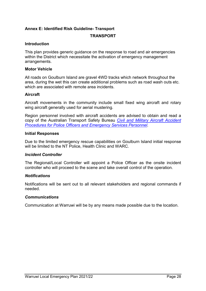#### <span id="page-27-0"></span>**Annex E: Identified Risk Guideline- Transport**

#### **TRANSPORT**

#### **Introduction**

This plan provides generic guidance on the response to road and air emergencies within the District which necessitate the activation of emergency management arrangements.

#### **Motor Vehicle**

All roads on Goulburn Island are gravel 4WD tracks which network throughout the area, during the wet this can create additional problems such as road wash outs etc. which are associated with remote area incidents.

#### **Aircraft**

Aircraft movements in the community include small fixed wing aircraft and rotary wing aircraft generally used for aerial mustering.

Region personnel involved with aircraft accidents are advised to obtain and read a copy of the Australian Transport Safety Bureau *[Civil and Military Aircraft Accident](http://www.atsb.gov.au/publications/2014/hazards-at-accident-sites_v6.aspx)  [Procedures for Police Officers and Emergency Services Personnel.](http://www.atsb.gov.au/publications/2014/hazards-at-accident-sites_v6.aspx)*

#### **Initial Responses**

Due to the limited emergency rescue capabilities on Goulburn Island initial response will be limited to the NT Police, Health Clinic and WARC.

#### *Incident Controller*

The Regional/Local Controller will appoint a Police Officer as the onsite incident controller who will proceed to the scene and take overall control of the operation.

#### *Notifications*

Notifications will be sent out to all relevant stakeholders and regional commands if needed.

#### *Communications*

Communication at Warruwi will be by any means made possible due to the location.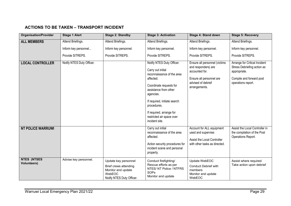### **ACTIONS TO BE TAKEN – TRANSPORT INCIDENT**

| <b>Organisation/Provider</b>              | <b>Stage 1 Alert</b>      | <b>Stage 2: Standby</b>                                                                                    | <b>Stage 3: Activation</b>                                                                                                                                                                                                                                                           | <b>Stage 4: Stand down</b>                                                                                                                | <b>Stage 5: Recovery</b>                                                                                                       |
|-------------------------------------------|---------------------------|------------------------------------------------------------------------------------------------------------|--------------------------------------------------------------------------------------------------------------------------------------------------------------------------------------------------------------------------------------------------------------------------------------|-------------------------------------------------------------------------------------------------------------------------------------------|--------------------------------------------------------------------------------------------------------------------------------|
| <b>ALL MEMBERS</b>                        | Attend Briefings.         | Attend Briefings.                                                                                          | Attend Briefings.                                                                                                                                                                                                                                                                    | Attend Briefings.                                                                                                                         | Attend Briefings.                                                                                                              |
|                                           | Inform key personnel      | Inform key personnel.                                                                                      | Inform key personnel.                                                                                                                                                                                                                                                                | Inform key personnel.                                                                                                                     | Inform key personnel.                                                                                                          |
|                                           | Provide SITREPS.          | Provide SITREPS.                                                                                           | Provide SITREPS.                                                                                                                                                                                                                                                                     | Provide SITREPS.                                                                                                                          | Provide SITREPS.                                                                                                               |
| <b>LOCAL CONTROLLER</b>                   | Notify NTES Duty Officer. |                                                                                                            | Notify NTES Duty Officer.<br>Carry out initial<br>reconnaissance of the area<br>affected.<br>Coordinate requests for<br>assistance from other<br>agencies.<br>If required, initiate search<br>procedures.<br>If required, arrange for<br>restricted air space over<br>incident site. | Ensure all personnel (victims<br>and responders) are<br>accounted for.<br>Ensure all personnel are<br>advised of debrief<br>arrangements. | Arrange for Critical Incident<br>Stress Debriefing action as<br>appropriate.<br>Compile and forward post<br>operations report. |
| <b>NT POLICE WARRUWI</b>                  |                           |                                                                                                            | Carry out initial<br>reconnaissance of the area<br>affected.<br>Action security procedures for<br>incident scene and personal<br>property.                                                                                                                                           | Account for ALL equipment<br>used and supervise:<br>Assist the Local Controller<br>with other tasks as directed.                          | Assist the Local Controller in<br>the compilation of the Post<br>Operations Report.                                            |
| <b>NTES (NTSES)</b><br><b>Volunteers)</b> | Advise key personnel.     | Update key personnel<br>Brief crews attending<br>Monitor and update<br>WebEOC<br>Notify NTES Duty Officer. | Conduct firefighting/<br>Rescue efforts as per<br>NTES/ NT Police / NTFRS<br><b>SOPs</b><br>Monitor and update                                                                                                                                                                       | Update WebEOC<br><b>Conduct Debrief with</b><br>members<br>Monitor and update<br>WebEOC                                                   | Assist where required<br>Take action upon debrief                                                                              |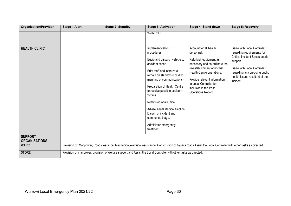| <b>Organisation/Provider</b>           | <b>Stage 1 Alert</b>                                                                                              | <b>Stage 2: Standby</b>                                                                                                                                          | <b>Stage 3: Activation</b>                                                                                                                                                                                                                                                                                                                                                                                             | Stage 4: Stand down                                                                                                                                                                                                                                                  | <b>Stage 5: Recovery</b>                                                                                                                                                                                                          |  |  |
|----------------------------------------|-------------------------------------------------------------------------------------------------------------------|------------------------------------------------------------------------------------------------------------------------------------------------------------------|------------------------------------------------------------------------------------------------------------------------------------------------------------------------------------------------------------------------------------------------------------------------------------------------------------------------------------------------------------------------------------------------------------------------|----------------------------------------------------------------------------------------------------------------------------------------------------------------------------------------------------------------------------------------------------------------------|-----------------------------------------------------------------------------------------------------------------------------------------------------------------------------------------------------------------------------------|--|--|
|                                        |                                                                                                                   |                                                                                                                                                                  | WebEOC                                                                                                                                                                                                                                                                                                                                                                                                                 |                                                                                                                                                                                                                                                                      |                                                                                                                                                                                                                                   |  |  |
| <b>HEALTH CLINIC</b>                   |                                                                                                                   |                                                                                                                                                                  | Implement call out<br>procedures.<br>Equip and dispatch vehicle to<br>accident scene.<br>Brief staff and instruct to<br>remain on standby (including<br>manning of communications).<br>Preparation of Health Centre<br>to receive possible accident<br>victims.<br>Notify Regional Office.<br><b>Advise Aerial Medical Section</b><br>Darwin of incident and<br>commence triage.<br>Administer emergency<br>treatment. | Account for all health<br>personnel.<br>Refurbish equipment as<br>necessary and co-ordinate the<br>re-establishment of normal<br>Health Centre operations.<br>Provide relevant information<br>to Local Controller for<br>inclusion in the Post<br>Operations Report. | Liaise with Local Controller<br>regarding requirements for<br><b>Critical Incident Stress debrief</b><br>support.<br>Liaise with Local Controller<br>regarding any on-going public<br>health issues resultant of the<br>incident. |  |  |
| <b>SUPPORT</b><br><b>ORGANISATIONS</b> |                                                                                                                   |                                                                                                                                                                  |                                                                                                                                                                                                                                                                                                                                                                                                                        |                                                                                                                                                                                                                                                                      |                                                                                                                                                                                                                                   |  |  |
| <b>WARC</b>                            |                                                                                                                   | Provision of: Manpower, Road clearance, Mechanical/electrical assistance, Construction of bypass roads Assist the Local Controller with other tasks as directed. |                                                                                                                                                                                                                                                                                                                                                                                                                        |                                                                                                                                                                                                                                                                      |                                                                                                                                                                                                                                   |  |  |
| <b>STORE</b>                           | Provision of manpower, provision of welfare support and Assist the Local Controller with other tasks as directed. |                                                                                                                                                                  |                                                                                                                                                                                                                                                                                                                                                                                                                        |                                                                                                                                                                                                                                                                      |                                                                                                                                                                                                                                   |  |  |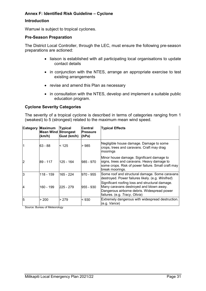#### <span id="page-30-0"></span>**Annex F: Identified Risk Guideline – Cyclone**

#### **Introduction**

Warruwi is subject to tropical cyclones.

#### **Pre-Season Preparation**

The District Local Controller, through the LEC, must ensure the following pre-season preparations are actioned:

- liaison is established with all participating local organisations to update contact details
- in conjunction with the NTES, arrange an appropriate exercise to test existing arrangements
- revise and amend this Plan as necessary
- in consultation with the NTES, develop and implement a suitable public education program.

#### **Cyclone Severity Categories**

The severity of a tropical cyclone is described in terms of categories ranging from 1 (weakest) to 5 (strongest) related to the maximum mean wind speed.

|   | <b>Category Maximum</b><br><b>Mean Wind Strongest</b><br>(km/h) | <b>Typical</b><br>Gust (km/h) | lCentral<br>lPressure<br>(hPa) | <b>Typical Effects</b>                                                                                                                                                      |
|---|-----------------------------------------------------------------|-------------------------------|--------------------------------|-----------------------------------------------------------------------------------------------------------------------------------------------------------------------------|
|   | 63 - 88                                                         | < 125                         | > 985                          | Negligible house damage. Damage to some<br>crops, trees and caravans. Craft may drag<br>moorings                                                                            |
| 2 | 89 - 117                                                        | 125 - 164                     | 985 - 970                      | Minor house damage. Significant damage to<br>signs, trees and caravans. Heavy damage to<br>some crops. Risk of power failure. Small craft may<br>break moorings.            |
| 3 | 118 - 159                                                       | 165 - 224                     | 970 - 955                      | Some roof and structural damage. Some caravans<br>destroyed. Power failures likely. (e.g. Winifred)                                                                         |
| 4 | 160 - 199                                                       | 225 - 279                     | 955 - 930                      | Significant roofing loss and structural damage.<br>Many caravans destroyed and blown away.<br>Dangerous airborne debris. Widespread power<br>failures. (e.g. Tracy, Olivia) |
| 5 | > 200                                                           | > 279                         | < 930                          | Extremely dangerous with widespread destruction.<br>(e.g. Vance)                                                                                                            |

Source: Bureau of Meteorology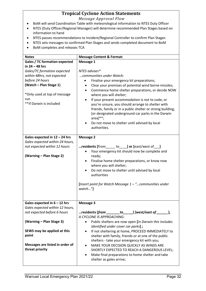## **Tropical Cyclone Action Statements**

*Message Approval Flow*

- BoM will send Coordination Table with meteorological information to NTES Duty Officer
- NTES (Duty Officer/Regional Manager) will determine recommended Plan Stages based on information to hand
- NTES passes recommendations to Incident/Regional Controller to confirm Plan Stages
- NTES sets messages to confirmed Plan Stages and sends completed document to BoM
- BoM completes and releases TCA

| <b>Notes</b>                                       | <b>Message Content &amp; Format:</b>                                                                             |  |  |  |  |
|----------------------------------------------------|------------------------------------------------------------------------------------------------------------------|--|--|--|--|
| <b>Gales / TC formation expected</b>               | Message 1                                                                                                        |  |  |  |  |
| in 24 - 48 hrs                                     |                                                                                                                  |  |  |  |  |
| Gales/TC formation expected                        | NTES advises*                                                                                                    |  |  |  |  |
| within 48hrs, not expected                         | communities under Watch:                                                                                         |  |  |  |  |
| before 24 hours                                    | Finalise your emergency kit preparations;<br>٠                                                                   |  |  |  |  |
| (Watch - Plan Stage 1)                             | Clear your premises of potential wind borne missiles;<br>٠                                                       |  |  |  |  |
| *Only used at top of message                       | Commence home shelter preparations, or decide NOW<br>$\bullet$<br>where you will shelter;                        |  |  |  |  |
| run                                                | If your present accommodation is not to code, or<br>$\bullet$                                                    |  |  |  |  |
| ** if Darwin is included                           | you're unsure, you should arrange to shelter with                                                                |  |  |  |  |
|                                                    | friends, family or in a public shelter or strong building,<br>[or designated underground car parks in the Darwin |  |  |  |  |
|                                                    | $area]$ **;                                                                                                      |  |  |  |  |
|                                                    | Do not move to shelter until advised by local                                                                    |  |  |  |  |
|                                                    | authorities.                                                                                                     |  |  |  |  |
|                                                    |                                                                                                                  |  |  |  |  |
| Gales expected in 12 - 24 hrs                      | <b>Message 2</b>                                                                                                 |  |  |  |  |
| Gales expected within 24 hours,                    |                                                                                                                  |  |  |  |  |
| not expected within 12 hours                       | residents [from______ to_____] or [east/west of____]                                                             |  |  |  |  |
|                                                    | Your emergency kit should now be complete and                                                                    |  |  |  |  |
| (Warning - Plan Stage 2)                           | ready;                                                                                                           |  |  |  |  |
|                                                    | Finalise home shelter preparations, or know now                                                                  |  |  |  |  |
|                                                    | where you will shelter;                                                                                          |  |  |  |  |
|                                                    | Do not move to shelter until advised by local                                                                    |  |  |  |  |
|                                                    | authorities                                                                                                      |  |  |  |  |
|                                                    |                                                                                                                  |  |  |  |  |
|                                                    | [Insert point for Watch Message $1 -$ " communities under                                                        |  |  |  |  |
|                                                    | watch"]                                                                                                          |  |  |  |  |
|                                                    |                                                                                                                  |  |  |  |  |
|                                                    |                                                                                                                  |  |  |  |  |
| Gales expected in $6 - 12$ hrs                     | <b>Message 3</b>                                                                                                 |  |  |  |  |
| Gales expected within 12 hours,                    |                                                                                                                  |  |  |  |  |
| not expected before 6 hours                        | residents [from $\rule{1em}{0.15mm}$ to $\rule{1.5mm}{0.15mm}$ [west/east of $\rule{1.5mm}{}$ ],                 |  |  |  |  |
|                                                    | A CYCLONE IS APPROACHING:                                                                                        |  |  |  |  |
| (Warning - Plan Stage 3)                           | Public shelters are now open [in Darwin this includes<br>$\bullet$                                               |  |  |  |  |
|                                                    | identified under cover car parks];                                                                               |  |  |  |  |
| SEWS may be applied at this                        | If not sheltering at home, PROCEED IMMEDIATELY to                                                                |  |  |  |  |
| point                                              | shelter with family, friends or at one of the public                                                             |  |  |  |  |
|                                                    | shelters - take your emergency kit with you;                                                                     |  |  |  |  |
| Messages are listed in order of<br>threat priority | MAKE YOUR DECISION QUICKLY AS WINDS ARE<br>$\bullet$                                                             |  |  |  |  |
|                                                    | SHORTLY EXPECTED TO REACH A DANGEROUS LEVEL;                                                                     |  |  |  |  |
|                                                    | Make final preparations to home shelter and take<br>$\bullet$                                                    |  |  |  |  |
|                                                    | shelter as gales arrive;                                                                                         |  |  |  |  |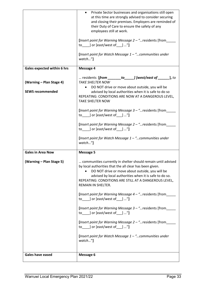|                             | Private Sector businesses and organisations still open                                                          |
|-----------------------------|-----------------------------------------------------------------------------------------------------------------|
|                             | at this time are strongly advised to consider securing<br>and closing their premises. Employers are reminded of |
|                             | their Duty of Care to ensure the safety of any                                                                  |
|                             | employees still at work.                                                                                        |
|                             | [Insert point for Warning Message 2 - " residents [from__                                                       |
|                             | to $\Box$ or [east/west of $\Box$ "]                                                                            |
|                             | [Insert point for Watch Message $1 -$ " communities under<br>watch"]                                            |
| Gales expected within 6 hrs | <b>Message 4</b>                                                                                                |
|                             | residents $[from ____________ to__ ] [west/east of __________ ]$ , to                                           |
| (Warning - Plan Stage 4)    | TAKE SHELTER NOW                                                                                                |
| <b>SEWS recommended</b>     | DO NOT drive or move about outside, you will be<br>advised by local authorities when it is safe to do so        |
|                             | REPEATING: CONDITIONS ARE NOW AT A DANGEROUS LEVEL,                                                             |
|                             | <b>TAKE SHELTER NOW</b>                                                                                         |
|                             | [Insert point for Warning Message 3 - " residents [from                                                         |
|                             | to _____] or [east/west of ____] "]                                                                             |
|                             | [Insert point for Warning Message 2 - "residents [from___                                                       |
|                             | to _____] or [east/west of ____] "]                                                                             |
|                             | [Insert point for Watch Message $1 -$ " communities under                                                       |
|                             |                                                                                                                 |
|                             | watch"]                                                                                                         |
| <b>Gales in Area Now</b>    | <b>Message 5</b>                                                                                                |
| (Warning – Plan Stage 5)    | communities currently in shelter should remain until advised                                                    |
|                             | by local authorities that the all clear has been given.                                                         |
|                             | DO NOT drive or move about outside, you will be                                                                 |
|                             | advised by local authorities when it is safe to do so.<br>REPEATING: CONDITIONS ARE STILL AT A DANGEROUS LEVEL, |
|                             | REMAIN IN SHELTER.                                                                                              |
|                             |                                                                                                                 |
|                             | [Insert point for Warning Message 4 - " residents [from<br>to ] or [east/west of ] "]                           |
|                             |                                                                                                                 |
|                             | [Insert point for Warning Message 3 - " residents [from<br>to _____] or [east/west of ____] "]                  |
|                             |                                                                                                                 |
|                             | [Insert point for Warning Message 2 - " residents [from<br>to $\Box$ or [east/west of $\Box$ "]                 |
|                             | [Insert point for Watch Message $1 -$ " communities under                                                       |
|                             | watch"]                                                                                                         |
|                             |                                                                                                                 |
| <b>Gales have eased</b>     | <b>Message 6</b>                                                                                                |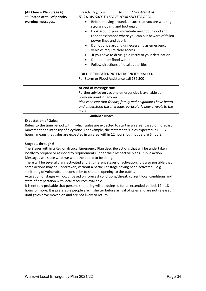| (All Clear - Plan Stage 6)                         | residents [from to lookst/east of<br>] that                                                                                                                                                                                                                                                                                                                                                                                                                                                                                                                                                                     |
|----------------------------------------------------|-----------------------------------------------------------------------------------------------------------------------------------------------------------------------------------------------------------------------------------------------------------------------------------------------------------------------------------------------------------------------------------------------------------------------------------------------------------------------------------------------------------------------------------------------------------------------------------------------------------------|
| ** Posted at tail of priority<br>warning messages. | IT IS NOW SAFE TO LEAVE YOUR SHELTER AREA.<br>Before moving around, ensure that you are wearing<br>$\bullet$<br>strong clothing and footwear.<br>Look around your immediate neighbourhood and<br>$\bullet$<br>render assistance where you can but beware of fallen<br>power lines and debris.<br>Do not drive around unnecessarily as emergency<br>vehicles require clear access.<br>If you have to drive, go directly to your destination.<br>Do not enter flood waters<br>Follow directions of local authorities.<br>FOR LIFE THREATENING EMERGENCIES DIAL 000.<br>For Storm or Flood Assistance call 132 500 |
|                                                    | At end of message run:<br>Further advice on cyclone emergencies is available at<br>www.securent.nt.gov.au<br>Please ensure that friends, family and neighbours have heard<br>and understood this message, particularly new arrivals to the<br>area.<br><b>Guidance Notes</b>                                                                                                                                                                                                                                                                                                                                    |

#### **Expectation of Gales:**

Refers to the time period within which gales are expected to start in an area, based on forecast movement and intensity of a cyclone. For example, the statement "Gales expected in  $6 - 12$ hours" means that gales are expected in an area within 12 hours, but not before 6 hours.

#### **Stages 1 through 6**

The Stages within a Regional/Local Emergency Plan describe actions that will be undertaken locally to prepare or respond to requirements under their respective plans. Public Action Messages will state what we want the public to be doing.

There will be several plans activated and at different stages of activation. It is also possible that some actions may be undertaken, without a particular stage having been activated – e.g. sheltering of vulnerable persons prior to shelters opening to the public.

Activation of stages will occur based on forecast conditions/threat, current local conditions and state of preparation with local resources available.

It is entirely probable that persons sheltering will be doing so for an extended period,  $12 - 18$ hours or more. It is preferable people are in shelter before arrival of gales and are not released until gales have moved on and are not likely to return.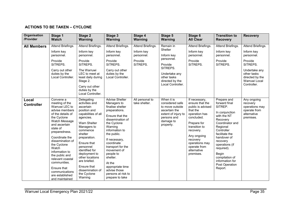#### **ACTIONS TO BE TAKEN – CYCLONE**

| Organisation<br>/Provider  | Stage 1<br><b>Watch</b>                                                                                                                                                                                                                                                                                                                                                        | Stage 2<br>Warning                                                                                                                                                                                                                                                                                                                 | Stage 3<br><b>Warning</b>                                                                                                                                                                                                                                                                                                                                      | Stage 4<br><b>Warning</b>                                            | Stage 5<br><b>Warning</b>                                                                                                                       | Stage 6<br><b>All Clear</b>                                                                                                                                                                                                            | <b>Transition to</b><br><b>Recovery</b>                                                                                                                                                                                                                                                   | <b>Recovery</b>                                                                                                                                         |
|----------------------------|--------------------------------------------------------------------------------------------------------------------------------------------------------------------------------------------------------------------------------------------------------------------------------------------------------------------------------------------------------------------------------|------------------------------------------------------------------------------------------------------------------------------------------------------------------------------------------------------------------------------------------------------------------------------------------------------------------------------------|----------------------------------------------------------------------------------------------------------------------------------------------------------------------------------------------------------------------------------------------------------------------------------------------------------------------------------------------------------------|----------------------------------------------------------------------|-------------------------------------------------------------------------------------------------------------------------------------------------|----------------------------------------------------------------------------------------------------------------------------------------------------------------------------------------------------------------------------------------|-------------------------------------------------------------------------------------------------------------------------------------------------------------------------------------------------------------------------------------------------------------------------------------------|---------------------------------------------------------------------------------------------------------------------------------------------------------|
| <b>All Members</b>         | Attend Briefings.<br>Inform key<br>personnel.<br>Provide<br>SITREPS.<br>Carry out other<br>duties by the<br>Local Controller.                                                                                                                                                                                                                                                  | Attend Briefings.<br>Inform key<br>personnel.<br>Provide<br>SITREPS.<br>The Warruwi<br>LEC to meet at<br>least daily during<br>Stage 2.<br>Carry out other<br>duties by the<br>Local Controller.                                                                                                                                   | Attend Briefings.<br>Inform key<br>personnel.<br>Provide<br>SITREPS.<br>Carry out other<br>duties by the<br>Local Controller.                                                                                                                                                                                                                                  | Attend Briefings.<br>Inform key<br>personnel.<br>Provide<br>SITREPS. | Remain in<br>Shelter<br>Inform key<br>personnel.<br>Provide<br>SITREPS.<br>Undertake any<br>other tasks<br>directed by the<br>Local Controller. | Attend Briefings.<br>Inform kev<br>personnel.<br>Provide<br>SITREPS.                                                                                                                                                                   | Attend Briefings.<br>Inform key<br>personnel.<br>Provide<br>SITREPS.                                                                                                                                                                                                                      | Attend Briefings.<br>Inform key<br>personnel.<br>Provide<br>SITREPS.<br>Undertake any<br>other tasks<br>directed by the<br>Warruwi Local<br>Controller. |
| Local<br><b>Controller</b> | Convene a<br>meeting of the<br>Warruwi LEC to<br>advise members<br>of the details of<br>the Cyclone<br>Watch Message<br>and ascertain<br>state of<br>preparedness.<br>Coordinate the<br>dissemination of<br>the Cyclone<br>Watch<br>information to<br>the public and<br>relevant coastal<br>communities.<br>Ensure that<br>communications<br>are established<br>and maintained | Delegating<br>activities and<br>ascertain<br>position and<br>capabilities of all<br>agencies.<br>Warn Shelter<br>Managers to<br>commence<br>shelter<br>preparation.<br>Ensure that<br>personnel<br>identified for<br>deployment to<br>other locations<br>are briefed.<br>Ensure that<br>dissemination of<br>the Cyclone<br>Warning | <b>Advise Shelter</b><br>Managers to<br>finalise shelter<br>preparations.<br>Ensure that the<br>dissemination of<br>the Cyclone<br>Warning<br>information to<br>the public.<br>If necessary,<br>coordinate<br>transport for the<br>movement of<br>people to<br>shelter.<br>At the<br>appropriate time<br>advise those<br>persons at risk to<br>prepare to take | All personal to<br>take shelter.                                     | When it is<br>considered safe<br>to move outside<br>ascertain the<br>extent of injury to<br>persons and<br>damage to<br>property.               | If necessary,<br>ensure that the<br>public is advised<br>that the<br>operation has<br>concluded.<br>Prepare for<br>transition to<br>recovery.<br>Any ongoing<br>recovery<br>operations may<br>operate from<br>alternative<br>premises. | Prepare and<br>forward final<br>SITREP.<br>In conjunction<br>with the NT<br>Recovery<br>Coordinator and<br>Regional<br>Controller<br>facilitate the<br>handover of<br>recovery<br>operations (if<br>required).<br>Begin<br>compilation of<br>information for<br>Post Operation<br>Report. | Any ongoing<br>recovery<br>operations may<br>operate from<br>alternative<br>premises.                                                                   |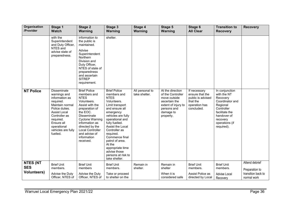| Organisation<br>/Provider                           | Stage 1<br><b>Watch</b>                                                                                                                                                                                                    | Stage 2<br><b>Warning</b>                                                                                                                                                                                                                                                      | Stage 3<br><b>Warning</b>                                                                                                                                                                                                                                                                                                                                 | Stage 4<br>Warning               | Stage 5<br><b>Warning</b>                                                                                                              | Stage 6<br><b>All Clear</b>                                                                     | <b>Transition to</b><br><b>Recovery</b>                                                                                                                             | <b>Recovery</b>                                                       |
|-----------------------------------------------------|----------------------------------------------------------------------------------------------------------------------------------------------------------------------------------------------------------------------------|--------------------------------------------------------------------------------------------------------------------------------------------------------------------------------------------------------------------------------------------------------------------------------|-----------------------------------------------------------------------------------------------------------------------------------------------------------------------------------------------------------------------------------------------------------------------------------------------------------------------------------------------------------|----------------------------------|----------------------------------------------------------------------------------------------------------------------------------------|-------------------------------------------------------------------------------------------------|---------------------------------------------------------------------------------------------------------------------------------------------------------------------|-----------------------------------------------------------------------|
|                                                     | with the<br>Superintendent<br>and Duty Officer,<br>NTES and<br>advise state of<br>preparedness.                                                                                                                            | information to<br>the public is<br>maintained.<br>Advise<br>Superintendent<br>Northern<br>Division and<br>Duty Officer,<br>NTES of state of<br>preparedness<br>and ascertain<br><b>SITREP</b><br>requirement.                                                                  | shelter.                                                                                                                                                                                                                                                                                                                                                  |                                  |                                                                                                                                        |                                                                                                 |                                                                                                                                                                     |                                                                       |
| <b>NT Police</b>                                    | <b>Disseminate</b><br>warnings and<br>information as<br>required.<br>Maintain normal<br>Police duties.<br><b>Assist Local</b><br>Controller as<br>required.<br>Ensure all<br>operational<br>vehicles are fully<br>fuelled. | <b>Brief Police</b><br>members and<br><b>NTES</b><br>Volunteers.<br>Assist with the<br>preparation of<br>the EOC.<br><b>Disseminate</b><br><b>Cyclone Warning</b><br>information as<br>directed by the<br><b>Local Controller</b><br>and advise of<br>information<br>received. | <b>Brief Police</b><br>members and<br><b>NTES</b><br>Volunteers.<br>Limit transport<br>and ensure all<br>emergency<br>vehicles are fully<br>operational and<br>fully fuelled.<br>Assist the Local<br>Controller as<br>required.<br>Commence final<br>patrol of area.<br>At the<br>appropriate time<br>advise those<br>persons at risk to<br>take shelter. | All personal to<br>take shelter. | At the direction<br>of the Controller<br>move outside<br>ascertain the<br>extent of injury to<br>persons and<br>damage to<br>property. | If necessary<br>ensure that the<br>public is advised<br>that the<br>operation has<br>concluded. | In conjunction<br>with the NT<br>Recovery<br>Coordinator and<br>Regional<br>Controller<br>facilitate the<br>handover of<br>recovery<br>operations (if<br>required). |                                                                       |
| <b>NTES (NT</b><br><b>SES</b><br><b>Volunteers)</b> | <b>Brief Unit</b><br>members.<br>Advise the Duty<br>Officer, NTES of                                                                                                                                                       | <b>Brief Unit</b><br>members<br>Advise the Duty<br>Officer, NTES of                                                                                                                                                                                                            | <b>Brief Unit</b><br>members.<br>Take or proceed<br>to shelter on the                                                                                                                                                                                                                                                                                     | Remain in<br>shelter.            | Remain in<br>shelter<br>When it is<br>considered safe                                                                                  | <b>Brief Unit</b><br>members.<br>Assist Police as<br>directed by Local                          | <b>Brief Unit</b><br>members.<br>Advise Local<br>Recovery                                                                                                           | Attend debrief<br>Preparation to<br>transition back to<br>normal work |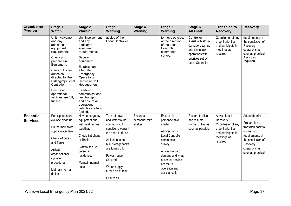| <b>Organisation</b><br>/Provider    | <b>Stage 1</b><br><b>Watch</b>                                                                                                                                                                                                                                           | Stage 2<br><b>Warning</b>                                                                                                                                                                                                                                                                                        | Stage 3<br>Warning                                                                                                                                                                                                                          | Stage 4<br>Warning                       | Stage 5<br>Warning                                                                                                                                                                                                    | Stage 6<br><b>All Clear</b>                                                                                                           | <b>Transition to</b><br><b>Recovery</b>                                                                               | <b>Recovery</b>                                                                                                                                                  |
|-------------------------------------|--------------------------------------------------------------------------------------------------------------------------------------------------------------------------------------------------------------------------------------------------------------------------|------------------------------------------------------------------------------------------------------------------------------------------------------------------------------------------------------------------------------------------------------------------------------------------------------------------|---------------------------------------------------------------------------------------------------------------------------------------------------------------------------------------------------------------------------------------------|------------------------------------------|-----------------------------------------------------------------------------------------------------------------------------------------------------------------------------------------------------------------------|---------------------------------------------------------------------------------------------------------------------------------------|-----------------------------------------------------------------------------------------------------------------------|------------------------------------------------------------------------------------------------------------------------------------------------------------------|
|                                     | Unit involvement<br>and any<br>additional<br>equipment<br>requirements.<br>Check and<br>prepare Unit<br>Equipment.<br>Carry out other<br>duties as<br>directed by the<br>Pirlangimpi Local<br>Controller.<br>Ensure all<br>operational<br>vehicles are fully<br>fuelled. | Unit involvement<br>and any<br>additional<br>equipment<br>requirements.<br>Secure<br>equipment.<br>Establish an<br>alternate<br>Emergency<br>Operations<br>Centre at Unit<br>Headquarters.<br>Establish<br>communications,<br>limit transport<br>and ensure all<br>operational<br>vehicles are fully<br>fuelled. | advice of the<br>Local Controller.                                                                                                                                                                                                          |                                          | to move outside.<br>at the direction<br>of the Local<br>Controller<br>commence<br>survey.                                                                                                                             | Controller<br>Assist with storm<br>damage clean up<br>and chainsaw<br>operations with<br>priorities set by<br><b>Local Controller</b> | Coordinator of any<br>urgent priorities<br>and participate in<br>meetings as<br>required.                             | requirements at<br>the conclusion of<br>Recovery<br>operations as<br>soon as practical.<br>Assist as<br>required                                                 |
| <b>Essential</b><br><b>Services</b> | Participate in pre<br>cyclone clean up.<br>Fill the main town<br>supply water tank.<br>Check all bores<br>and Tanks.<br>Activate<br>organisational<br>cyclone<br>procedures.<br>Maintain normal<br>duties.                                                               | Have emergency<br>equipment and<br>wet weather gear<br>together.<br>Check Sat phone<br>or Radio.<br>Staff to secure<br>personal<br>residence.<br>Maintain normal<br>duties.                                                                                                                                      | Turn off power<br>and water to the<br>community, if<br>conditions warrant<br>the need to do so<br>All fuel taps on<br>bulk storage tanks<br>are turned off.<br>Power house<br>Secured.<br>Water supply<br>turned off at tank.<br>Ensure all | Ensure all<br>personnel take<br>shelter. | Ensure all<br>personnel take<br>shelter.<br>At direction of<br>Local Controller<br>commence<br>survey.<br>Advise Police of<br>damage and what<br>essential services<br>are still in<br>operation and<br>assistance is | Restore facilities<br>and resume<br>normal duties as<br>soon as possible.                                                             | Advise Local<br>Recovery<br>Coordinator of any<br>urgent priorities<br>and participate in<br>meetings as<br>required. | Attend debrief<br>Preparation to<br>transition back to<br>normal work<br>requirements at<br>the conclusion of<br>Recovery<br>operations as<br>soon as practical. |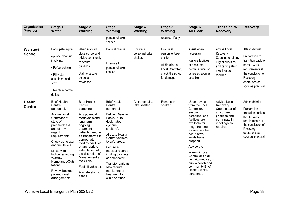| Organisation<br>/Provider      | Stage 1<br><b>Watch</b>                                                                                                                                                                                                                                                                                                         | Stage 2<br><b>Warning</b>                                                                                                                                                                                                                                                                                                                      | Stage 3<br><b>Warning</b>                                                                                                                                                                                                                                                                                                                             | Stage 4<br>Warning                       | Stage 5<br><b>Warning</b>                                                                                           | Stage 6<br><b>All Clear</b>                                                                                                                                                                                                                                                                                                                       | <b>Transition to</b><br><b>Recovery</b>                                                                                  | <b>Recovery</b>                                                                                                                                                  |
|--------------------------------|---------------------------------------------------------------------------------------------------------------------------------------------------------------------------------------------------------------------------------------------------------------------------------------------------------------------------------|------------------------------------------------------------------------------------------------------------------------------------------------------------------------------------------------------------------------------------------------------------------------------------------------------------------------------------------------|-------------------------------------------------------------------------------------------------------------------------------------------------------------------------------------------------------------------------------------------------------------------------------------------------------------------------------------------------------|------------------------------------------|---------------------------------------------------------------------------------------------------------------------|---------------------------------------------------------------------------------------------------------------------------------------------------------------------------------------------------------------------------------------------------------------------------------------------------------------------------------------------------|--------------------------------------------------------------------------------------------------------------------------|------------------------------------------------------------------------------------------------------------------------------------------------------------------|
|                                |                                                                                                                                                                                                                                                                                                                                 |                                                                                                                                                                                                                                                                                                                                                | personnel take<br>shelter.                                                                                                                                                                                                                                                                                                                            |                                          | required, if any.                                                                                                   |                                                                                                                                                                                                                                                                                                                                                   |                                                                                                                          |                                                                                                                                                                  |
| Warruwi<br><b>School</b>       | Participate in pre<br>cyclone clean up<br>involving:<br>· Refuel vehicle.<br>• Fill water<br>containers and<br>store.<br>• Maintain normal<br>duties.                                                                                                                                                                           | When advised,<br>close school and<br>advise community<br>to secure<br>buildings.<br>Staff to secure<br>personal<br>residence.                                                                                                                                                                                                                  | Do final checks.<br>Ensure all<br>personnel take<br>shelter.                                                                                                                                                                                                                                                                                          | Ensure all<br>personnel take<br>shelter. | Ensure all<br>personnel take<br>shelter.<br>At direction of<br>Local Controller,<br>check the school<br>for damage. | Assist where<br>necessary.<br>Restore facilities<br>and resume<br>normal education<br>duties as soon as<br>possible.                                                                                                                                                                                                                              | Advise Local<br>Recovery<br>Coordinator of any<br>urgent priorities<br>and participate in<br>meetings as<br>required.    | Attend debrief<br>Preparation to<br>transition back to<br>normal work<br>requirements at<br>the conclusion of<br>Recovery<br>operations as<br>soon as practical. |
| <b>Health</b><br><b>Centre</b> | <b>Brief Health</b><br>Centre<br>personnel.<br><b>Advise Local</b><br>Controller of<br>state of<br>preparedness<br>and of any<br>urgent<br>requirements.<br>Check generator<br>and fuel levels.<br>Liaise with<br>Police regarding:<br>Warruwi<br>Homelands/Outs<br>tations.<br>Review booked<br>patient travel<br>arrangements | <b>Brief Health</b><br>Centre<br>personnel.<br>Any potential<br>medevac's and<br>long term<br>ongoing<br>treatment<br>patients need to<br>be transferred to<br>appropriate<br>medical facilities<br>or appropriate<br>safe places; at<br>the discretion of<br>Management at<br>the Clinic.<br>Fuel all vehicles.<br>Allocate staff to<br>check | <b>Brief Health</b><br>Centre<br>personnel.<br><b>Deliver Disaster</b><br>Packs (5) to<br>designated<br>cyclone<br>shelters).<br>Allocate Health<br>Centre vehicles<br>to safe areas.<br>Secure all<br>medical records<br>in filing cabinets<br>or compactor.<br>Transfer patients<br>who require<br>monitoring or<br>treatment to<br>clinic or other | All personal to<br>take shelter.         | Remain in<br>shelter.                                                                                               | Upon advice<br>from the Local<br>Controller,<br>ensure<br>personnel and<br>facilities are<br>available for<br>triage treatment<br>as soon as the<br>destructive<br>winds have<br>dropped.<br>Advise the<br>Warruwi Local<br>Controller on all<br>first aid/medical,<br>public health and<br>community Brief<br><b>Health Centre</b><br>personnel. | Advise Local<br>Recovery<br>Coordinator of<br>any urgent<br>priorities and<br>participate in<br>meetings as<br>required. | Attend debrief<br>Preparation to<br>transition back to<br>normal work<br>requirements at<br>the conclusion of<br>Recovery<br>operations as<br>soon as practical. |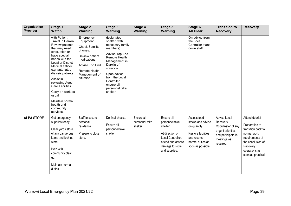| <b>Organisation</b><br>/Provider             | Stage 1                                                                                                                                                                                                                                                                                                                                                                                                                                                                                              | Stage 2                                                                                                                                                                                                                                                | Stage 3                                                                                                                                                                                                                                                                                                           | Stage 4                                             | Stage 5                                                                                                                                              | Stage 6                                                                                                                                                                                                             | <b>Transition to</b>                                                                                                                     | <b>Recovery</b>                                                                                                                                                  |
|----------------------------------------------|------------------------------------------------------------------------------------------------------------------------------------------------------------------------------------------------------------------------------------------------------------------------------------------------------------------------------------------------------------------------------------------------------------------------------------------------------------------------------------------------------|--------------------------------------------------------------------------------------------------------------------------------------------------------------------------------------------------------------------------------------------------------|-------------------------------------------------------------------------------------------------------------------------------------------------------------------------------------------------------------------------------------------------------------------------------------------------------------------|-----------------------------------------------------|------------------------------------------------------------------------------------------------------------------------------------------------------|---------------------------------------------------------------------------------------------------------------------------------------------------------------------------------------------------------------------|------------------------------------------------------------------------------------------------------------------------------------------|------------------------------------------------------------------------------------------------------------------------------------------------------------------|
| usual.<br><b>ALPA STORE</b><br>store.<br>up. | <b>Watch</b><br>with Patient<br><b>Travel in Darwin</b><br>Review patients<br>that may need<br>evacuation or<br>have special<br>needs with the<br>Local or District<br>Medical Officer<br>e.g. antenatal,<br>dialysis patients.<br>Assist in<br>reviewing Aged<br>Care Facilities.<br>Carry on work as<br>Maintain normal<br>health and<br>community<br>services.<br>Get emergency<br>supplies ready.<br>Clear yard / store<br>of any dangerous<br>items and lock up<br>Help with<br>community clean | Warning<br>Emergency<br>Equipment.<br><b>Check Satellite</b><br>phones.<br>Review patient<br>medications.<br>Advise Top End<br>Remote Health<br>Management of<br>situation.<br>Staff to secure<br>personal<br>residence.<br>Prepare to close<br>store. | Warning<br>designated<br>shelter (with<br>necessary family<br>members).<br>Advise Top End<br>Remote Health<br>Management in<br>Darwin of<br>situation.<br>Upon advice<br>from the Local<br>Controller<br>ensure all<br>personnel take<br>shelter.<br>Do final checks.<br>Ensure all<br>personnel take<br>shelter. | Warning<br>Ensure all<br>personnel take<br>shelter. | Warning<br>Ensure all<br>personnel take<br>shelter.<br>At direction of<br>Local Controller,<br>attend and assess<br>damage to store<br>and supplies. | <b>All Clear</b><br>On advice from<br>the Local<br>Controller stand<br>down staff.<br>Assess food<br>stocks and advise<br>on quantity.<br>Restore facilities<br>and resume<br>normal duties as<br>soon as possible. | <b>Recovery</b><br>Advise Local<br>Recovery<br>Coordinator of any<br>urgent priorities<br>and participate in<br>meetings as<br>required. | Attend debrief<br>Preparation to<br>transition back to<br>normal work<br>requirements at<br>the conclusion of<br>Recovery<br>operations as<br>soon as practical. |
| duties.                                      | Maintain normal                                                                                                                                                                                                                                                                                                                                                                                                                                                                                      |                                                                                                                                                                                                                                                        |                                                                                                                                                                                                                                                                                                                   |                                                     |                                                                                                                                                      |                                                                                                                                                                                                                     |                                                                                                                                          |                                                                                                                                                                  |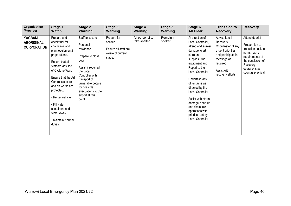| Organisation                                       | Stage 1                                                                                                                                                                                                                                                                                                                               | Stage 2                                                                                                                                                                                                                              | Stage 3                                                                       | Stage 4                          | Stage 5               | Stage 6                                                                                                                                                                                                                                                                                                                                                      | <b>Transition to</b>                                                                                                                                     | <b>Recovery</b>                                                                                                                                                  |
|----------------------------------------------------|---------------------------------------------------------------------------------------------------------------------------------------------------------------------------------------------------------------------------------------------------------------------------------------------------------------------------------------|--------------------------------------------------------------------------------------------------------------------------------------------------------------------------------------------------------------------------------------|-------------------------------------------------------------------------------|----------------------------------|-----------------------|--------------------------------------------------------------------------------------------------------------------------------------------------------------------------------------------------------------------------------------------------------------------------------------------------------------------------------------------------------------|----------------------------------------------------------------------------------------------------------------------------------------------------------|------------------------------------------------------------------------------------------------------------------------------------------------------------------|
| /Provider                                          | <b>Watch</b>                                                                                                                                                                                                                                                                                                                          | Warning                                                                                                                                                                                                                              | Warning                                                                       | Warning                          | Warning               | <b>All Clear</b>                                                                                                                                                                                                                                                                                                                                             | <b>Recovery</b>                                                                                                                                          |                                                                                                                                                                  |
| YAGBANI<br><b>ABORIGINAL</b><br><b>CORPORATION</b> | Prepare and<br>check fuel for<br>chainsaws and<br>plant equipment in<br>preparations.<br>Ensure that all<br>staff are advised<br>of Cyclone Watch<br>Ensure that the Art<br>Centre is secure<br>and art works are<br>protected.<br>• Refuel vehicle.<br>• Fill water<br>containers and<br>store. Away.<br>• Maintain Normal<br>duties | Staff to secure<br>Personal<br>residence.<br>Prepare to close<br>down.<br>Assist if required<br>the Local<br>Controller with<br>transport of<br>vulnerable people<br>for possible<br>evacuations to the<br>airport at this<br>point. | Prepare for<br>shelter.<br>Ensure all staff are<br>aware of current<br>stage. | All personal to<br>take shelter. | Remain in<br>shelter. | At direction of<br>Local Controller,<br>attend and assess<br>damage to art<br>store and<br>supplies. And<br>equipment and<br>Report to the<br>Local Controller<br>Undertake any<br>other tasks as<br>directed by the<br>Local Controller<br>Assist with storm<br>damage clean up<br>and chainsaw<br>operations with<br>priorities set by<br>Local Controller | Advise Local<br>Recovery<br>Coordinator of any<br>urgent priorities<br>and participate in<br>meetings as<br>required.<br>Assist with<br>recovery efforts | Attend debrief<br>Preparation to<br>transition back to<br>normal work<br>requirements at<br>the conclusion of<br>Recovery<br>operations as<br>soon as practical. |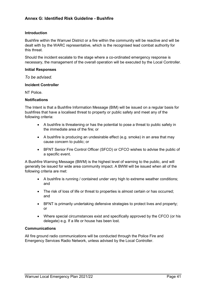#### <span id="page-40-0"></span>**Annex G: Identified Risk Guideline - Bushfire**

#### **Introduction**

Bushfire within the Warruwi District or a fire within the community will be reactive and will be dealt with by the WARC representative, which is the recognised lead combat authority for this threat.

Should the incident escalate to the stage where a co-ordinated emergency response is necessary, the management of the overall operation will be executed by the Local Controller.

#### **Initial Responses**

*To be advised.*

#### **Incident Controller**

NT Police.

#### **Notifications**

The Intent is that a Bushfire Information Message (BIM) will be issued on a regular basis for bushfires that have a localised threat to property or public safety and meet any of the following criteria:

- A bushfire is threatening or has the potential to pose a threat to public safety in the immediate area of the fire; or
- A bushfire is producing an undesirable effect (e.g. smoke) in an area that may cause concern to public; or
- BFNT Senior Fire Control Officer (SFCO) or CFCO wishes to advise the public of a specific event.

A Bushfire Warning Message (BWM) is the highest level of warning to the public, and will generally be issued for wide area community impact. A BWM will be issued when all of the following criteria are met:

- A bushfire is running / contained under very high to extreme weather conditions; and
- The risk of loss of life or threat to properties is almost certain or has occurred; and
- BFNT is primarily undertaking defensive strategies to protect lives and property; or
- Where special circumstances exist and specifically approved by the CFCO (or his delegate) e.g. If a life or house has been lost.

#### **Communications**

All fire ground radio communications will be conducted through the Police Fire and Emergency Services Radio Network, unless advised by the Local Controller.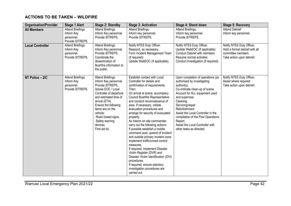### **ACTIONS TO BE TAKEN – WILDFIRE**

| <b>Organisation/Provider</b> | <b>Stage 1 Alert</b>                                              | <b>Stage 2: Standby</b>                                                                                                                                                                                                                                                                  | <b>Stage 3: Activation</b>                                                                                                                                                                                                                                                                                                                                                                                                                                                                                                                                                                                                                                                                                                                                         | Stage 4: Stand down                                                                                                                                                                                                                                                                                                                                                           | <b>Stage 5: Recovery</b>                                                                                      |
|------------------------------|-------------------------------------------------------------------|------------------------------------------------------------------------------------------------------------------------------------------------------------------------------------------------------------------------------------------------------------------------------------------|--------------------------------------------------------------------------------------------------------------------------------------------------------------------------------------------------------------------------------------------------------------------------------------------------------------------------------------------------------------------------------------------------------------------------------------------------------------------------------------------------------------------------------------------------------------------------------------------------------------------------------------------------------------------------------------------------------------------------------------------------------------------|-------------------------------------------------------------------------------------------------------------------------------------------------------------------------------------------------------------------------------------------------------------------------------------------------------------------------------------------------------------------------------|---------------------------------------------------------------------------------------------------------------|
| <b>All Members</b>           | Attend Briefings.<br>Inform Key<br>personnel.<br>Provide SITREPS. | Attend Briefings.<br>Inform Key personnel.<br>Provide SITREPS.                                                                                                                                                                                                                           | Attend Briefings.<br>Inform key personnel.<br>Provide SITREPS.                                                                                                                                                                                                                                                                                                                                                                                                                                                                                                                                                                                                                                                                                                     | Attend Briefings.<br>Inform key personnel.<br>Provide SITREPS.                                                                                                                                                                                                                                                                                                                | <b>Attend Debrief</b><br>Inform key personnel.                                                                |
| <b>Local Controller</b>      | Attend Briefings.<br>Inform Key<br>personnel.<br>Provide SITREPS. | Attend Briefings.<br>Inform Key personnel.<br>Provide SITREPS.<br>Coordinate the<br>dissemination of<br>Bushfire information to<br>the public.                                                                                                                                           | Notify NTES Duty Officer.<br>Respond, as necessary.<br>Form Incident Management Team<br>(if required)<br>Update WebEOC (If applicable).                                                                                                                                                                                                                                                                                                                                                                                                                                                                                                                                                                                                                            | Notify NTES Duty Officer.<br>Update WebEOC (If applicable)<br><b>Conduct Debrief with members</b><br>Resume normal activities<br>Conduct investigation (if required).                                                                                                                                                                                                         | Notify NTES Duty Officer.<br>Hold a formal debrief with all<br>committee members<br>Take action upon debrief. |
| NT Police - 2IC              | Attend Briefings.<br>Inform Key<br>personnel.<br>Provide SITREPS. | Attend Briefings.<br>Inform Key personnel.<br>Provide SITREPS.<br>Advise EOC / Local<br>Controller of departure<br>and estimated time of<br>arrival (ETA).<br>Ensure the following<br>items are on the<br>vehicle:<br>Road closed signs.<br>Safety warning<br>devices.<br>First aid kit. | Establish contact with Local<br>Controller for details and<br>confirmation of requirements.<br>Then:<br>On arrival at scene, accompany<br>Council Bushfire Representative<br>and conduct reconnaissance of<br>area. If necessary, initiate<br>evacuation procedures and<br>arrange for security of evacuated<br>property.<br>As interim on site commander,<br>carry out the following actions:<br>If possible establish a mobile<br>command post; upwind of incident<br>and outside primary incident zone.<br>Implement traffic/crowd control<br>measures.<br>If required, implement Disaster<br>Victim Register (DVR) and<br>Disaster Victim Identification (DVI)<br>procedures.<br>If required, ensure statutory<br>investigation procedures are<br>carried out. | Upon completion of operations (as<br>authorised by investigating<br>authority);<br>Co-ordinate clean-up of scene.<br>Account for ALL equipment used<br>and supervise:<br>Cleaning<br>Servicing/repair<br>Refurbishment<br>Assist the Local Controller in the<br>compilation of the Post Operations<br>Report.<br>Assist the Local Controller with<br>other tasks as directed. | Notify NTES Duty Officer.<br>Assist where required<br>Take action upon debrief.                               |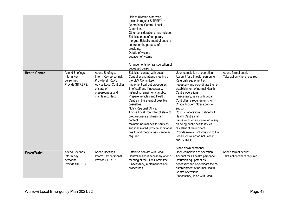| <b>Health Centre</b> | Attend Briefings.<br>Inform Key<br>personnel.<br>Provide SITREPS. | Attend Briefings.<br>Inform Key personnel.<br>Provide SITREPS.<br>Advise Local Controller<br>of state of<br>preparedness and<br>maintain contact. | Unless directed otherwise,<br>maintain regular SITREP's to<br>Operational Centre / Local<br>Controller.<br>Other considerations may include:<br>Establishment of temporary<br>morgue. Establishment of enquiry<br>centre for the purpose of<br>providing:<br>Details of victims<br>Location of victims<br>Arrangements for transportation of<br>deceased persons.<br>Establish contact with Local<br>Controller and attend meeting of<br>the LEM Committee.<br>Implement call out procedures.<br>Brief staff and if necessary,<br>instruct to remain on standby.<br>Prepare vehicles and Health<br>Centre in the event of possible<br>casualties.<br>Notify Regional Office.<br>Advise Local Controller of state of<br>preparedness and maintain<br>contact.<br>Maintain normal health services<br>and if activated, provide additional<br>health and medical assistance as<br>required. | Upon completion of operation:<br>Account for all health personnel.<br>Refurbish equipment as<br>necessary and co-ordinate the re-<br>establishment of normal Health<br>Centre operations.<br>If necessary, liaise with Local<br>Controller re requirements for<br><b>Critical Incident Stress debrief</b><br>support.<br>Conduct operational debrief with<br>Health Centre staff.<br>Liaise with Local Controller re any<br>on going public health issues<br>resultant of the incident.<br>Provide relevant information to the<br>Local Controller for inclusion in<br>final SITREP. | Attend formal debrief<br>Take action where required. |
|----------------------|-------------------------------------------------------------------|---------------------------------------------------------------------------------------------------------------------------------------------------|------------------------------------------------------------------------------------------------------------------------------------------------------------------------------------------------------------------------------------------------------------------------------------------------------------------------------------------------------------------------------------------------------------------------------------------------------------------------------------------------------------------------------------------------------------------------------------------------------------------------------------------------------------------------------------------------------------------------------------------------------------------------------------------------------------------------------------------------------------------------------------------|--------------------------------------------------------------------------------------------------------------------------------------------------------------------------------------------------------------------------------------------------------------------------------------------------------------------------------------------------------------------------------------------------------------------------------------------------------------------------------------------------------------------------------------------------------------------------------------|------------------------------------------------------|
| <b>PowerWater</b>    | Attend Briefings.<br>Inform Key<br>personnel.                     | Attend Briefings.<br>Inform Key personnel.<br>Provide SITREPS.                                                                                    | Establish contact with Local<br>Controller and if necessary attend<br>meeting of the LEM Committee.                                                                                                                                                                                                                                                                                                                                                                                                                                                                                                                                                                                                                                                                                                                                                                                      | Stand down personnel.<br>Upon completion of operation:<br>Account for all health personnel.<br>Refurbish equipment as                                                                                                                                                                                                                                                                                                                                                                                                                                                                | Attend formal debrief<br>Take action where required. |
|                      | Provide SITREPS.                                                  |                                                                                                                                                   | If necessary, implement call out<br>procedures.                                                                                                                                                                                                                                                                                                                                                                                                                                                                                                                                                                                                                                                                                                                                                                                                                                          | necessary and co-ordinate the re-<br>establishment of normal Health<br>Centre operations.<br>If necessary, liaise with Local                                                                                                                                                                                                                                                                                                                                                                                                                                                         |                                                      |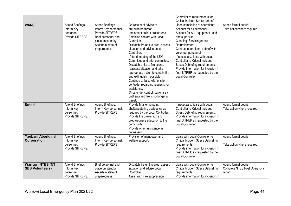|                                                   |                                                                   |                                                                                                                                                   |                                                                                                                                                                                                                                                                                                                                                                                                                                                                                                                                                                                                    | Controller re requirements for<br><b>Critical Incident Stress debrief</b>                                                                                                                                                                                                                                                                                                                                                               |                                                                         |
|---------------------------------------------------|-------------------------------------------------------------------|---------------------------------------------------------------------------------------------------------------------------------------------------|----------------------------------------------------------------------------------------------------------------------------------------------------------------------------------------------------------------------------------------------------------------------------------------------------------------------------------------------------------------------------------------------------------------------------------------------------------------------------------------------------------------------------------------------------------------------------------------------------|-----------------------------------------------------------------------------------------------------------------------------------------------------------------------------------------------------------------------------------------------------------------------------------------------------------------------------------------------------------------------------------------------------------------------------------------|-------------------------------------------------------------------------|
| <b>WARC</b>                                       | Attend Briefings.<br>Inform Key<br>personnel.<br>Provide SITREPS. | Attend Briefings.<br>Inform Key personnel.<br>Provide SITREPS.<br>Brief personnel and<br>place on standby.<br>Ascertain state of<br>preparedness. | On receipt of advice of<br>fire/bushfire threat:<br>Implement callout procedures.<br>Establish contact with Local<br>Controller.<br>Dispatch fire unit to area, assess<br>situation and advise Local<br>Controller.<br>Attend meeting of the LEM<br>Committee and brief committee.<br>Dispatch Units to fire scene,<br>reassess situation and take<br>appropriate action to contain fire<br>and extinguish if possible.<br>Continue to liaise with onsite<br>controller regarding requests for<br>assistance.<br>Once under control, patrol area<br>until satisfied fire is no longer a<br>threat. | Upon completion of operations;<br>Account for all personnel.<br>Account for ALL equipment used<br>and supervise:<br>Cleaning , Servicing/repair,<br>Refurbishment<br>Conduct operational debrief with<br>volunteer personnel.<br>If necessary, liaise with Local<br>Controller re Critical Incident<br>Stress Debriefing requirements.<br>Provide information for inclusion in<br>final SITREP as requested by the<br>Local Controller. | Attend formal debrief<br>Take action where required.                    |
| <b>School</b>                                     | Attend Briefings.<br>Inform Key<br>personnel.<br>Provide SITREPS. | Attend Briefings.<br>Inform Key personnel.<br>Provide SITREPS.                                                                                    | Provide Mustering point<br>shelter/catering assistance as<br>required by the Local Controller.<br>Provide fire prevention and<br>preparedness education to the<br>community.<br>Provide other assistance as<br>necessary.                                                                                                                                                                                                                                                                                                                                                                          | If necessary, liaise with Local<br>Controller re Critical Incident<br>Stress Debriefing requirements.<br>Provide information for inclusion in<br>final SITREP as requested by the<br>Local Controller.                                                                                                                                                                                                                                  | Attend formal debrief<br>Take action where required.                    |
| Yagbani Aboriginal<br>Corporation                 | Attend Briefings.<br>Inform Key<br>personnel.<br>Provide SITREPS. | Attend Briefings.<br>Inform Key personnel.<br>Provide SITREPS.                                                                                    | Provision of manpower and<br>welfare support.                                                                                                                                                                                                                                                                                                                                                                                                                                                                                                                                                      | Liaise with Local Controller re<br><b>Critical Incident Stress Debriefing</b><br>requirements.<br>Provide information for inclusion in<br>final SITREP as requested by the<br>Local Controller.                                                                                                                                                                                                                                         | Attend formal debrief<br>Take action where required.                    |
| <b>Warruwi NTES (NT</b><br><b>SES Volunteers)</b> | Attend Briefings.<br>Inform Key<br>personnel.<br>Provide SITREPS. | Brief personnel and<br>place on standby.<br>Ascertain state of<br>preparedness.                                                                   | Dispatch fire unit to area, assess<br>situation and advise Local<br>Controller.<br>Assist with Fire suppression                                                                                                                                                                                                                                                                                                                                                                                                                                                                                    | Liaise with Local Controller re<br><b>Critical Incident Stress Debriefing</b><br>requirements.<br>Provide information for inclusion in                                                                                                                                                                                                                                                                                                  | Attend formal debrief<br><b>Complete NTES Post Operations</b><br>report |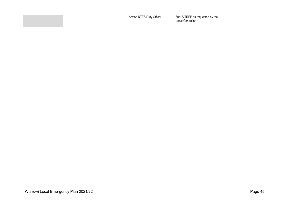|  | <sup>'</sup> Officer<br><b>Advise NTES Duty</b> | final SITREP as requested by the<br>Local Controller. |  |
|--|-------------------------------------------------|-------------------------------------------------------|--|
|--|-------------------------------------------------|-------------------------------------------------------|--|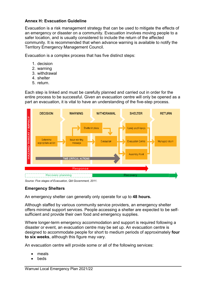#### <span id="page-45-0"></span>**Annex H: Evacuation Guideline**

Evacuation is a risk management strategy that can be used to mitigate the effects of an emergency or disaster on a community. Evacuation involves moving people to a safer location, and is usually considered to include the return of the affected community. It is recommended that when advance warning is available to notify the Territory Emergency Management Council.

Evacuation is a complex process that has five distinct steps:

- 1. decision
- 2. warning
- 3. withdrawal
- 4. shelter
- 5. return.

Each step is linked and must be carefully planned and carried out in order for the entire process to be successful. Given an evacuation centre will only be opened as a part an evacuation, it is vital to have an understanding of the five-step process.



*Source: Five stages of Evacuation, Qld Government, 2011.*

#### **Emergency Shelters**

An emergency shelter can generally only operate for up to **48 hours.**

Although staffed by various community service providers, an emergency shelter offers minimal support services. People accessing a shelter are expected to be selfsufficient and provide their own food and emergency supplies.

Where longer-term emergency accommodation and support is required following a disaster or event, an evacuation centre may be set up. An evacuation centre is designed to accommodate people for short to medium periods of approximately **four to six weeks**, although this figure may vary.

An evacuation centre will provide some or all of the following services:

- meals
- **beds**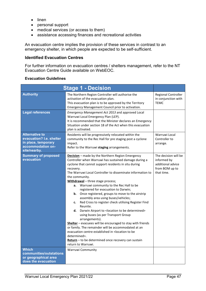- linen
- personal support
- medical services (or access to them)
- assistance accessing finances and recreational activities

An evacuation centre implies the provision of these services in contrast to an emergency shelter, in which people are expected to be self-sufficient.

#### **Identified Evacuation Centres**

For further information on evacuation centres / shelters management, refer to the NT Evacuation Centre Guide available on WebEOC.

#### **Evacuation Guidelines**

|                                                                                                               | <b>Stage 1 - Decision</b>                                                                                                                                                                                                                                                                                                                                                                                                                                                                                                                                                                                                                                                                                                                                                                                                                                                                                                                                                              |                                                                                          |
|---------------------------------------------------------------------------------------------------------------|----------------------------------------------------------------------------------------------------------------------------------------------------------------------------------------------------------------------------------------------------------------------------------------------------------------------------------------------------------------------------------------------------------------------------------------------------------------------------------------------------------------------------------------------------------------------------------------------------------------------------------------------------------------------------------------------------------------------------------------------------------------------------------------------------------------------------------------------------------------------------------------------------------------------------------------------------------------------------------------|------------------------------------------------------------------------------------------|
| <b>Authority</b>                                                                                              | The Northern Region Controller will authorise the<br>activation of the evacuation plan.<br>This evacuation plan is to be approved by the Territory<br>Emergency Management Council prior to activation.                                                                                                                                                                                                                                                                                                                                                                                                                                                                                                                                                                                                                                                                                                                                                                                | Regional Controller<br>in conjunction with<br><b>TEMC</b>                                |
| <b>Legal references</b>                                                                                       | Emergency Management Act 2013 and approved Local<br>Warruwi Local Emergency Plan (LEP).<br>It is recommended that the Minister declares an Emergency<br>Situation under section 18 of the Act when this evacuation<br>plan is activated.                                                                                                                                                                                                                                                                                                                                                                                                                                                                                                                                                                                                                                                                                                                                               |                                                                                          |
| <b>Alternative to</b><br>evacuation? I.e. shelter<br>in place, temporary<br>accommodation on-<br>site/nearby. | Residents will be progressively relocated within the<br>community to the Rec Hall for pre staging post a cyclone<br>impact.<br>Refer to the Warruwi staging arrangements.                                                                                                                                                                                                                                                                                                                                                                                                                                                                                                                                                                                                                                                                                                                                                                                                              | Warruwi Local<br>Controller to<br>arrange.                                               |
| <b>Summary of proposed</b><br>evacuation                                                                      | Decision - made by the Northern Region Emergency<br>Controller when Warruwi has sustained damage during a<br>cyclone that cannot support residents in situ during<br>recovery.<br>The Warruwi Local Controller to disseminate information to<br>the community.<br>Withdrawal - three stage process;<br>Warruwi community to the Rec Hall to be<br>а.<br>registered for evacuation to Darwin;<br><b>b.</b> Once registered, groups to move to the airstrip<br>assembly area using buses/vehicles;<br>Red Cross to register check utilising Register Find<br>c.<br>Reunite.<br>d.<br>Darwin Airport to < location to be determined><br>using buses (as per Transport Group<br>arrangements).<br>Shelter - evacuees will be encouraged to stay with friends<br>or family. The remainder will be accommodated at an<br>evacuation centre established in <location be<br="" to="">determined&gt;.<br/>Return - to be determined once recovery can sustain<br/>return to Warruwi.</location> | The decision will be<br>informed by<br>additional advice<br>from BOM up to<br>that time. |
| <b>Which</b><br>communities/outstations<br>or geographical area<br>does the evacuation                        | <b>Warruwi Community</b>                                                                                                                                                                                                                                                                                                                                                                                                                                                                                                                                                                                                                                                                                                                                                                                                                                                                                                                                                               |                                                                                          |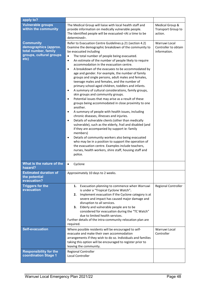| apply to?                                                                                            |                                                                                                                                                                                                                                                                                                                                                                                                                                                                                                                                                                                                                                                                                                                                                                                                                                                                                                                                                                                                                                                                                                                                                                                                                                                                                                                                                                                                                                  |                                                       |
|------------------------------------------------------------------------------------------------------|----------------------------------------------------------------------------------------------------------------------------------------------------------------------------------------------------------------------------------------------------------------------------------------------------------------------------------------------------------------------------------------------------------------------------------------------------------------------------------------------------------------------------------------------------------------------------------------------------------------------------------------------------------------------------------------------------------------------------------------------------------------------------------------------------------------------------------------------------------------------------------------------------------------------------------------------------------------------------------------------------------------------------------------------------------------------------------------------------------------------------------------------------------------------------------------------------------------------------------------------------------------------------------------------------------------------------------------------------------------------------------------------------------------------------------|-------------------------------------------------------|
| <b>Vulnerable groups</b><br>within the community                                                     | The Medical Group will liaise with local health staff and<br>provide information on medically vulnerable people.<br>The Identified people will be evacuated <at a="" be<br="" time="" to="">determined&gt;.</at>                                                                                                                                                                                                                                                                                                                                                                                                                                                                                                                                                                                                                                                                                                                                                                                                                                                                                                                                                                                                                                                                                                                                                                                                                 | Medical Group &<br>Transport Group to<br>action.      |
| <b>Community</b><br>demographics (approx.<br>total number, family<br>groups, cultural groups<br>etc) | Refer to Evacuation Centre Guidelines p.21 (section 4.2)<br>Examine the demographic breakdown of the community to<br>be evacuated including<br>The total number of people being evacuated.<br>$\bullet$<br>An estimate of the number of people likely to require<br>$\bullet$<br>accommodation in the evacuation centre.<br>A breakdown of the evacuees to be accommodated by<br>$\bullet$<br>age and gender. For example, the number of family<br>groups and single persons, adult males and females,<br>teenage males and females, and the number of<br>primary school-aged children, toddlers and infants.<br>A summary of cultural considerations, family groups,<br>$\bullet$<br>skin groups and community groups.<br>Potential issues that may arise as a result of these<br>$\bullet$<br>groups being accommodated in close proximity to one<br>another.<br>A summary of people with health issues, including<br>$\bullet$<br>chronic diseases, illnesses and injuries.<br>Details of vulnerable clients (other than medically<br>$\bullet$<br>vulnerable), such as the elderly, frail and disabled (and<br>if they are accompanied by support ie: family<br>members)<br>Details of community workers also being evacuated<br>$\bullet$<br>who may be in a position to support the operation of<br>the evacuation centre. Examples include teachers,<br>nurses, health workers, shire staff, housing staff and<br>police. | Warruwi Local<br>Controller to obtain<br>information. |
| What is the nature of the<br>hazard?                                                                 | Cyclone<br>$\bullet$                                                                                                                                                                                                                                                                                                                                                                                                                                                                                                                                                                                                                                                                                                                                                                                                                                                                                                                                                                                                                                                                                                                                                                                                                                                                                                                                                                                                             |                                                       |
| <b>Estimated duration of</b><br>the potential<br>evacuation?                                         | Approximately 10 days to 2 weeks.                                                                                                                                                                                                                                                                                                                                                                                                                                                                                                                                                                                                                                                                                                                                                                                                                                                                                                                                                                                                                                                                                                                                                                                                                                                                                                                                                                                                |                                                       |
| <b>Triggers for the</b><br>evacuation                                                                | Evacuation planning to commence when Warruwi<br>1.<br>is under a "Tropical Cyclone Watch".<br>Implement evacuation if the Cyclone category is at<br>2.<br>severe and impact has caused major damage and<br>disruption to all services.<br>Elderly and vulnerable people are to be<br>3.<br>considered for evacuation during the "TC Watch"<br>due to limited health services.<br>Further details of the intra-community relocation plan are<br>required.                                                                                                                                                                                                                                                                                                                                                                                                                                                                                                                                                                                                                                                                                                                                                                                                                                                                                                                                                                         | <b>Regional Controller</b>                            |
| <b>Self-evacuation</b>                                                                               | Where possible residents will be encouraged to self-<br>evacuate and make their own accommodation<br>arrangements if they wish to do so. Individuals and families<br>taking this option will be encouraged to register prior to<br>leaving the community.                                                                                                                                                                                                                                                                                                                                                                                                                                                                                                                                                                                                                                                                                                                                                                                                                                                                                                                                                                                                                                                                                                                                                                        | Warruwi Local<br>Controller                           |
| <b>Responsibility for the</b><br>coordination Stage 1                                                | Regional Controller<br><b>Local Controller</b>                                                                                                                                                                                                                                                                                                                                                                                                                                                                                                                                                                                                                                                                                                                                                                                                                                                                                                                                                                                                                                                                                                                                                                                                                                                                                                                                                                                   |                                                       |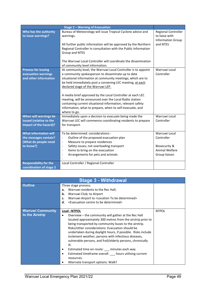|                                                                                            | <b>Stage 2 - Warning of Evacuation</b>                                                                                                                                                                                                                                                                                                                                                                                                                                                                                                                     |                                                                                 |
|--------------------------------------------------------------------------------------------|------------------------------------------------------------------------------------------------------------------------------------------------------------------------------------------------------------------------------------------------------------------------------------------------------------------------------------------------------------------------------------------------------------------------------------------------------------------------------------------------------------------------------------------------------------|---------------------------------------------------------------------------------|
| Who has the authority<br>to issue warnings?                                                | Bureau of Meteorology will issue Tropical Cyclone advice and<br>warnings.<br>All further public information will be approved by the Northern<br>Regional Controller in consultation with the Public Information<br>Group and NTES<br>The Warruwi Local Controller will coordinate the dissemination<br>of community level information.                                                                                                                                                                                                                     | Regional Controller<br>to liaise with<br><b>Information Group</b><br>and NTES   |
| <b>Process for issuing</b><br>evacuation warnings<br>and other information                 | At community level, the Warruwi Local Controller is to appoint<br>a community spokesperson to disseminate up to date<br>situational information at community meetings; which are to<br>be held immediately post a convening LEC meeting, at each<br>declared stage of the Warruwi LEP.<br>A media brief approved by the Local Controller at each LEC<br>meeting, will be announced over the Local Radio station<br>containing current situational information, relevant safety<br>information, what to prepare, when to self-evacuate, and<br>where to go. | Warruwi Local<br>Controller                                                     |
| When will warnings be<br>issued (relative to the<br>impact of the hazard)?                 | Immediately upon a decision to evacuate being made the<br>Warruwi LEC will commence coordinating residents to prepare<br>for transport.                                                                                                                                                                                                                                                                                                                                                                                                                    | Warruwi Local<br>Controller                                                     |
| <b>What information will</b><br>the messages contain?<br>(What do people need<br>to know?) | To be determined: considerations -<br>Outline of the proposed evacuation plan<br>$\overline{\phantom{a}}$<br>Measure to prepare residences<br>$\overline{\phantom{a}}$<br>Safety issues; not overloading transport<br>$\overline{\phantom{a}}$<br>Items to bring on the evacuation<br>$\blacksquare$<br>Arrangements for pets and animals<br>$\overline{\phantom{a}}$                                                                                                                                                                                      | Warruwi Local<br>Controller<br>Biosecurity &<br>Animal Welfare<br>Group liaison |
| <b>Responsibility for the</b><br>coordination of stage 2                                   | Local Controller / Regional Controller                                                                                                                                                                                                                                                                                                                                                                                                                                                                                                                     |                                                                                 |

| <b>Stage 3 - Withdrawal</b>                 |                                                                                                                                                                                                                                                                                                                                                                                                                                                                                                                                                                                                              |              |  |
|---------------------------------------------|--------------------------------------------------------------------------------------------------------------------------------------------------------------------------------------------------------------------------------------------------------------------------------------------------------------------------------------------------------------------------------------------------------------------------------------------------------------------------------------------------------------------------------------------------------------------------------------------------------------|--------------|--|
| <b>Outline</b>                              |                                                                                                                                                                                                                                                                                                                                                                                                                                                                                                                                                                                                              |              |  |
| <b>Warruwi Community</b><br>to the Airstrip | Lead -NTPOL<br>Overview – the community will gather at the Rec Hall<br>located approximately 300 metres from the airstrip prior to<br>being transported by community buses to the airstrip.<br>Risks/other considerations: Evacuation should be<br>undertaken during daylight hours, if possible. Risks include<br>inclement weather, persons with infectious diseases,<br>vulnerable persons, and frail/elderly persons, chronically<br>ill.<br>Estimated time en-route: __ minutes each way<br>Estimated timeframe overall: __ hours utilising current<br>resources.<br>Alternate transport options: Walk? | <b>NTPOL</b> |  |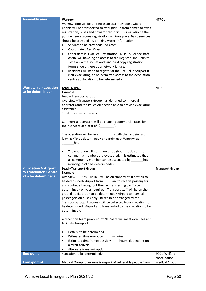| <b>Assembly area</b>                                                          | Warruwi<br>Warruwi club will be utilised as an assembly point where<br>people will be transported to after pick up from homes to await<br>registration, buses and onward transport. This will also be the<br>point where evacuee registration will take place. Basic services<br>should be provided i.e. drinking water, information.<br>Services to be provided: Red Cross<br>$\bullet$<br><b>Coordinator: Red Cross</b><br>Other details: Evacuee Registration - NTPFES College staff<br>$\bullet$<br>onsite will have log on access to the Register.Find.Reunite<br>system via the 3G network and hard copy registration<br>forms should there be a network failure.<br>Residents will need to register at the Rec Hall or Airport if<br>$\bullet$<br>(self-evacuating) to be permitted access to the evacuation<br>centre at <location be="" determined="" to="">.</location>                                                                                                                                                                          | <b>NTPOL</b>           |
|-------------------------------------------------------------------------------|------------------------------------------------------------------------------------------------------------------------------------------------------------------------------------------------------------------------------------------------------------------------------------------------------------------------------------------------------------------------------------------------------------------------------------------------------------------------------------------------------------------------------------------------------------------------------------------------------------------------------------------------------------------------------------------------------------------------------------------------------------------------------------------------------------------------------------------------------------------------------------------------------------------------------------------------------------------------------------------------------------------------------------------------------------|------------------------|
| <b>Warruwi to <location< b=""></location<></b>                                | Lead-NTPOL                                                                                                                                                                                                                                                                                                                                                                                                                                                                                                                                                                                                                                                                                                                                                                                                                                                                                                                                                                                                                                                 | <b>NTPOL</b>           |
| to be determined>                                                             | <b>Example</b>                                                                                                                                                                                                                                                                                                                                                                                                                                                                                                                                                                                                                                                                                                                                                                                                                                                                                                                                                                                                                                             |                        |
|                                                                               | Lead - Transport Group<br>Overview - Transport Group has identified commercial<br>operators and the Police Air Section able to provide evacuation<br>assistance.<br>Total proposed air assets:_______<br>Commercial operators will be charging commercial rates for<br>their services at a cost of $(\xi$ ___________.<br>The operation will begin at _______ hrs with the first aircraft,<br>leaving <to be="" determined=""> and arriving at Warruwi at<br/>hrs.<br/>The operation will continue throughout the day until all<br/><math display="inline">\bullet</math><br/>community members are evacuated. It is estimated that</to>                                                                                                                                                                                                                                                                                                                                                                                                                   |                        |
|                                                                               |                                                                                                                                                                                                                                                                                                                                                                                                                                                                                                                                                                                                                                                                                                                                                                                                                                                                                                                                                                                                                                                            |                        |
|                                                                               | all community member can be evacuated by ________hrs                                                                                                                                                                                                                                                                                                                                                                                                                                                                                                                                                                                                                                                                                                                                                                                                                                                                                                                                                                                                       |                        |
|                                                                               | (arriving in <to be="" determined="">).</to>                                                                                                                                                                                                                                                                                                                                                                                                                                                                                                                                                                                                                                                                                                                                                                                                                                                                                                                                                                                                               |                        |
| < Location > Airport<br>to Evacuation Centre<br><to be="" determined=""></to> | <b>Lead -Transport Group</b><br><b>Example</b><br>Overview - Buses (Buslink) will be on standby at <location to<br="">be determined&gt; Airport from ______ am to receive passengers<br/>and continue throughout the day transferring to <to be<br="">determined&gt; only, as required. Transport staff will be on the<br/>ground at <location be="" determined="" to=""> Airport to marshal<br/>passengers on buses only. Buses to be arranged by the<br/>Transport Group. Evacuees will be collected from <location to<br="">be determined&gt; Airport and transported to the <location be<br="" to="">determined&gt;.<br/>A reception team provided by NT Police will meet evacuees and<br/>facilitate transport.<br/>Details: to be determined<br/><math display="inline">\bullet</math><br/>Estimated time en-route: ____ minutes<br/><math display="inline">\bullet</math><br/>Estimated timeframe: possibly ____ hours, dependant on<br/>٠<br/>aircraft arrivals.<br/>Alternate transport options:</location></location></location></to></location> | <b>Transport Group</b> |
| <b>End point</b>                                                              | <location be="" determined="" to=""></location>                                                                                                                                                                                                                                                                                                                                                                                                                                                                                                                                                                                                                                                                                                                                                                                                                                                                                                                                                                                                            | EOC / Welfare          |
| <b>Transport of</b>                                                           |                                                                                                                                                                                                                                                                                                                                                                                                                                                                                                                                                                                                                                                                                                                                                                                                                                                                                                                                                                                                                                                            | coordination           |
|                                                                               | Medical Group to arrange transport of vulnerable people from                                                                                                                                                                                                                                                                                                                                                                                                                                                                                                                                                                                                                                                                                                                                                                                                                                                                                                                                                                                               | <b>Medical Group</b>   |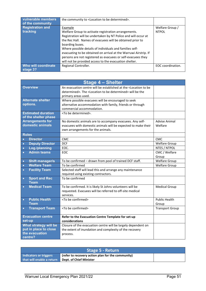| vulnerable members      | the community to <location be="" determined="" to="">.</location> |                   |
|-------------------------|-------------------------------------------------------------------|-------------------|
| of the community        |                                                                   |                   |
| <b>Registration and</b> | Example                                                           | Welfare Group /   |
| tracking                | Welfare Group to activate registration arrangements.              | <b>NTPOL</b>      |
|                         | Registration will be undertaken by NT Police and will occur at    |                   |
|                         | the Rec Hall. Names of evacuees will be obtained prior to         |                   |
|                         | boarding buses.                                                   |                   |
|                         | Where possible details of individuals and families self-          |                   |
|                         | evacuating to be obtained on arrival at the Warruwi Airstrip. If  |                   |
|                         | persons are not registered as evacuees or self-evacuees they      |                   |
|                         | will not be provided access to the evacuation shelter.            |                   |
| Who will coordinate     | Regional Controller.                                              | EOC coordination. |
| stage 3?                |                                                                   |                   |

| <b>Stage 4 - Shelter</b>                                                    |                                                                                                                                                                                             |                                 |  |  |
|-----------------------------------------------------------------------------|---------------------------------------------------------------------------------------------------------------------------------------------------------------------------------------------|---------------------------------|--|--|
| <b>Overview</b>                                                             | An evacuation centre will be established at the <location be<br="" to="">determined&gt;. The <location be="" determined="" to=""> will be the<br/>primary areas used.</location></location> |                                 |  |  |
| <b>Alternate shelter</b><br>options.                                        | Where possible evacuees will be encouraged to seek<br>alternative accommodation with family, friends or through<br>commercial accommodation.                                                |                                 |  |  |
| <b>Estimated duration</b><br>of the shelter phase                           | <to be="" determined="">.</to>                                                                                                                                                              |                                 |  |  |
| <b>Arrangements for</b><br>domestic animals                                 | No domestic animals are to accompany evacuees. Any self-<br>evacuees with domestic animals will be expected to make their<br>own arrangements for the animals.                              | <b>Advise Animal</b><br>Welfare |  |  |
| <b>Roles</b>                                                                |                                                                                                                                                                                             |                                 |  |  |
| <b>Director</b><br>$\bullet$                                                | <b>CMC</b>                                                                                                                                                                                  | <b>CMC</b>                      |  |  |
| <b>Deputy Director</b><br>$\bullet$                                         | <b>DCF</b>                                                                                                                                                                                  | <b>Welfare Group</b>            |  |  |
| Log./planning<br>$\bullet$                                                  | EOC.                                                                                                                                                                                        | NTES / NTPOL                    |  |  |
| <b>Admin teams</b><br>$\bullet$                                             | EOC                                                                                                                                                                                         | CMC / Welfare<br>Group          |  |  |
| <b>Shift manager/s</b><br>$\bullet$                                         | To be confirmed - drawn from pool of trained DCF staff.                                                                                                                                     | <b>Welfare Group</b>            |  |  |
| <b>Welfare Team</b><br>$\bullet$                                            | To be confirmed                                                                                                                                                                             | <b>Welfare Group</b>            |  |  |
| <b>Facility Team</b><br>$\bullet$                                           | Selected staff will lead this and arrange any maintenance<br>required using existing contractors.                                                                                           |                                 |  |  |
| <b>Sport and Rec</b><br>$\bullet$<br><b>Team</b>                            | To be confirmed                                                                                                                                                                             |                                 |  |  |
| <b>Medical Team</b><br>$\bullet$                                            | To be confirmed. It is likely St Johns volunteers will be<br>requested. Evacuees will be referred to off-site medical<br>services.                                                          | <b>Medical Group</b>            |  |  |
| <b>Public Health</b><br>$\bullet$<br><b>Team</b>                            | <to be="" confirmed=""></to>                                                                                                                                                                | <b>Public Health</b><br>Group   |  |  |
| <b>Transport Team</b><br>$\bullet$                                          | <to be="" confirmed=""></to>                                                                                                                                                                | <b>Transport Group</b>          |  |  |
| <b>Evacuation centre</b><br>set-up                                          | Refer to the Evacuation Centre Template for set-up<br>considerations                                                                                                                        |                                 |  |  |
| What strategy will be<br>put in place to close<br>the evacuation<br>centre? | Closure of the evacuation centre will be largely dependent on<br>the extent of inundation and complexity of the recovery<br>process.                                                        |                                 |  |  |

| Stage 5 - Return                                    |                                                   |  |  |
|-----------------------------------------------------|---------------------------------------------------|--|--|
| Indicators or triggers                              | (refer to recovery action plan for the community) |  |  |
| that will enable a return   Dept. of Chief Minister |                                                   |  |  |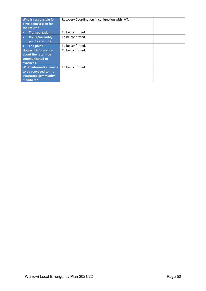| Who is responsible for<br>developing a plan for<br>the return?                            | Recovery Coordination in conjunction with IMT. |  |
|-------------------------------------------------------------------------------------------|------------------------------------------------|--|
| <b>Transportation</b>                                                                     | To be confirmed.                               |  |
| <b>Route/assembly</b><br>$\bullet$<br>points en-route                                     | To be confirmed.                               |  |
| <b>End point</b><br>$\bullet$                                                             | To be confirmed.                               |  |
| <b>How will information</b><br>about the return be<br>communicated to<br>evacuees?        | To be confirmed.                               |  |
| <b>What information needs</b><br>to be conveyed to the<br>evacuated community<br>members? | To be confirmed.                               |  |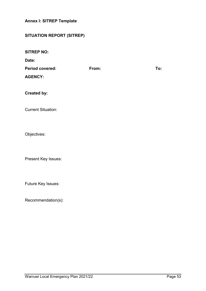#### <span id="page-52-0"></span>**Annex I: SITREP Template**

#### **SITUATION REPORT (SITREP)**

**SITREP NO:**

**Date:**

| <b>Period covered:</b> | From: | To: |
|------------------------|-------|-----|
| <b>AGENCY:</b>         |       |     |

**Created by:**

Current Situation:

Objectives:

Present Key Issues:

Future Key Issues:

Recommendation(s):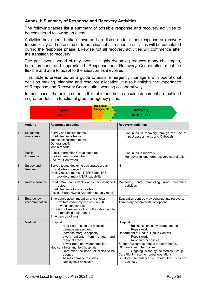#### <span id="page-53-0"></span>**Annex J: Summary of Response and Recovery Activities**

The following tables list a summary of possible response and recovery activities to be considered following an event.

Activities have been broken down and are listed under either response or recovery for simplicity and ease of use. In practice not all response activities will be completed during the response phase. Likewise not all recovery activities will commence after the transition to recovery.

The post event period of any event is highly dynamic produces many challenges, both foreseen and unpredicted. Response and Recovery Coordination must be flexible and able to adapt to the situation as it evolves.

This table is presented as a guide to assist emergency managers with operational decision making, planning and resource allocation. It also highlights the importance of Response and Recovery Coordination working collaboratively.

In most cases the points noted in this table and in the ensuing document are outlined in greater detail in functional group or agency plans.

|    |                            |                                                                                                                                                                                                                                                                                                                                                                               | <b>Transitional</b> |                                                                                                                                                                                                                                                                                                                                                                               |  |                                                                             |
|----|----------------------------|-------------------------------------------------------------------------------------------------------------------------------------------------------------------------------------------------------------------------------------------------------------------------------------------------------------------------------------------------------------------------------|---------------------|-------------------------------------------------------------------------------------------------------------------------------------------------------------------------------------------------------------------------------------------------------------------------------------------------------------------------------------------------------------------------------|--|-----------------------------------------------------------------------------|
|    |                            | <b>Response</b><br><b>PFES / EOC</b>                                                                                                                                                                                                                                                                                                                                          | <b>Arrangements</b> | <b>Recovery</b><br><b>DCM / TCCC</b>                                                                                                                                                                                                                                                                                                                                          |  |                                                                             |
|    |                            |                                                                                                                                                                                                                                                                                                                                                                               |                     |                                                                                                                                                                                                                                                                                                                                                                               |  |                                                                             |
|    | <b>Activity</b>            | <b>Response activities</b>                                                                                                                                                                                                                                                                                                                                                    |                     | <b>Recovery activities</b>                                                                                                                                                                                                                                                                                                                                                    |  |                                                                             |
| 1. | Situational<br>awareness   | Survey and rescue teams<br>Road clearance teams<br>Impact assessment teams<br>General public<br>Media reports                                                                                                                                                                                                                                                                 |                     | Ω                                                                                                                                                                                                                                                                                                                                                                             |  | Continues in recovery through the use of<br>impact assessments and Outreach |
| 2. | Public<br>Information      | Public Information Group stood up<br>Spokes persons identified<br>SecureNT activated                                                                                                                                                                                                                                                                                          |                     | Continues in recovery<br>□<br>$\Box$<br>Handover to long term recovery coordination                                                                                                                                                                                                                                                                                           |  |                                                                             |
| 3. | Survey and<br>Rescue       | Survey teams deploy to designated areas<br>Critical sites surveyed<br>Deploy rescue teams - NTFRS and TRS<br>provide primary USAR capability                                                                                                                                                                                                                                  |                     | Nil                                                                                                                                                                                                                                                                                                                                                                           |  |                                                                             |
| 4. | Road clearance             | Road patrol teams deploy and check assigned<br>routes<br>Road clearance to priority sites<br>Assess Stuart Hwy to Katherine (supply route)                                                                                                                                                                                                                                    |                     | Monitoring<br>completing<br>road<br>clearance<br>and<br>activities                                                                                                                                                                                                                                                                                                            |  |                                                                             |
| 5. | Emergency<br>accommodation | Emergency accommodation and shelter<br>- welfare assembly centres (WAC)<br>- evacuation centres<br>Provision of resources that will enable people<br>to remain in their homes<br>Emergency clothing                                                                                                                                                                           |                     | Evacuation centres may continue into recovery.<br>Temporary accommodation options                                                                                                                                                                                                                                                                                             |  |                                                                             |
| 6. | Medical                    | Hospital<br>road clearance to the hospital<br>$\blacksquare$<br>damage assessment<br>increase morgue capacity<br>$\overline{\phantom{a}}$<br>divert patients from remote<br>regional areas<br>power (fuel) and water supplies<br>Medical clinics and field hospitals<br>Determine the need for clinics to be<br>opened<br>Assess damage to clinics<br>Deploy field hospital/s | and                 | Hospital<br>Business continuity arrangements<br>Repair work<br>Department of Health- Health Centres<br>Repair work<br>$\overline{a}$<br>Reopen other clinics<br>Support vulnerable people to return home.<br>GP clinics and pharmacies<br>Ongoing liaison by the Medical Group<br>CareFlight - resume normal operations<br>St John Ambulance - resumption of core<br>business |  |                                                                             |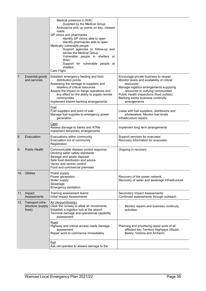|    |                                                     | Medical presence in WAC<br>□<br>Supplied by the Medical Group<br>Ambulance pick up points on key, cleared<br>□<br>roads<br>GP clinics and pharmacies<br>Identify GP clinics able to open<br>Identify pharmacies able to open<br>Medically vulnerable people<br>Support agencies to follow-up and<br>advise the Medical Group<br>Vulnerable people in shelters or<br><b>WAC</b><br>Support for vulnerable people at<br>shelters<br>Care Flight |                                                                                                                                                                                                                                                                                    |
|----|-----------------------------------------------------|-----------------------------------------------------------------------------------------------------------------------------------------------------------------------------------------------------------------------------------------------------------------------------------------------------------------------------------------------------------------------------------------------------------------------------------------------|------------------------------------------------------------------------------------------------------------------------------------------------------------------------------------------------------------------------------------------------------------------------------------|
| 7. | Essential goods<br>and services                     | Establish emergency feeding and food<br>distribution points<br>Assessing the damage to suppliers and<br>retailers of critical resources<br>Assess the impact on barge operations and<br>any effect on the ability to supply remote<br>communities<br>Implement interim banking arrangements                                                                                                                                                   | Encourage private business to reopen<br>Monitor levels and availability of critical<br>resources<br>Manage logistics arrangements supplying<br>resources to outlying communities<br>Public Health inspections (food outlets)<br>Banking sector business continuity<br>arrangements |
|    |                                                     | Fuel<br>Fuel suppliers and point of sale<br>Manage fuel supplies to emergency power<br>generation                                                                                                                                                                                                                                                                                                                                             | Liaise with fuel suppliers, distributors and<br>wholesalers. Monitor fuel levels<br>Infrastructure repairs                                                                                                                                                                         |
|    |                                                     | Cash<br>Assess damage to banks and ATMs<br>Implement temporary arrangements                                                                                                                                                                                                                                                                                                                                                                   | Implement long term arrangements                                                                                                                                                                                                                                                   |
| 8. | Evacuation                                          | Evacuations within community                                                                                                                                                                                                                                                                                                                                                                                                                  | Support services for evacuees                                                                                                                                                                                                                                                      |
|    |                                                     | Evacuation out of community<br>Registration                                                                                                                                                                                                                                                                                                                                                                                                   | Recovery information for evacuees                                                                                                                                                                                                                                                  |
| 9. | <b>Public Health</b>                                | Communicable disease control response<br>Drinking water safety standards<br>Sewage and waste disposal<br>Safe food distribution and advice<br>Vector and vermin control<br>Food and commercial premises                                                                                                                                                                                                                                       | Ongoing in recovery                                                                                                                                                                                                                                                                |
|    | 10. Utilities                                       | Power supply<br>Power generation<br>Water supply<br>Sewerage<br><b>Emergency sanitation</b>                                                                                                                                                                                                                                                                                                                                                   | Recovery of the power network<br>Recovery of water and sewerage infrastructure                                                                                                                                                                                                     |
|    | 11. Impact<br>Assessments                           | Training assessment teams<br>Initial Impact Assessments                                                                                                                                                                                                                                                                                                                                                                                       | <b>Secondary Impact Assessments</b><br>Continued assessments through outreach                                                                                                                                                                                                      |
|    | 12. Transport infra-<br>structure (supply<br>lines) | Air (Airport/Airstrip)<br>Clear the runway to allow air movements<br>Establish a logistics hub at the airport<br>Terminal damage and operational capability<br>assessment                                                                                                                                                                                                                                                                     | Monitor repairs and business continuity<br>□<br>activities                                                                                                                                                                                                                         |
|    |                                                     | Road<br>Highway and critical access roads damage<br>assessment<br>Repair work to commence immediately                                                                                                                                                                                                                                                                                                                                         | Planning and prioritising repair work of all<br>affected key Territory Highways (Stuart,<br>Barkly, Victoria and Arnhem)                                                                                                                                                           |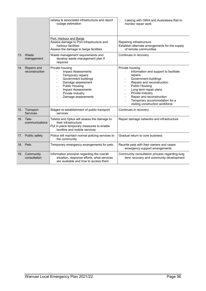|     |                                  | railway & associated infrastructure and report<br>outage estimation                                                                                                                                                              | Liaising with GWA and Australasia Rail to<br>П<br>monitor repair work                                                                                                                                                                                                                                                                  |  |
|-----|----------------------------------|----------------------------------------------------------------------------------------------------------------------------------------------------------------------------------------------------------------------------------|----------------------------------------------------------------------------------------------------------------------------------------------------------------------------------------------------------------------------------------------------------------------------------------------------------------------------------------|--|
|     |                                  | Port, Harbour and Barge<br>Assess damage to Port infrastructure and<br>harbour facilities<br>Assess the damage to barge facilities                                                                                               | Repairing infrastructure<br>Establish alternate arrangements for the supply<br>of remote communities                                                                                                                                                                                                                                   |  |
|     | 13. Waste<br>management          | Waste management requirements and<br>develop waste management plan if<br>required                                                                                                                                                | Continues in recovery                                                                                                                                                                                                                                                                                                                  |  |
| 14. | Repairs and<br>reconstruction    | Private housing<br><b>Impact Assessments</b><br>Temporary repairs<br>Government buildings<br>Damage assessment<br>$\blacksquare$<br><b>Public Housing</b><br><b>Impact Assessments</b><br>Private Industry<br>Damage assessments | Private housing<br>Information and support to facilitate<br>repairs.<br>Government buildings<br>Repairs and reconstruction<br>$\blacksquare$<br><b>Public Housing</b><br>Long term repair plans<br>$\blacksquare$<br>Private Industry<br>Repair and reconstruction<br>Temporary accommodation for a<br>visiting construction workforce |  |
|     | 15. Transport<br><b>Services</b> | Staged re-establishment of public transport<br>services                                                                                                                                                                          | Continues in recovery                                                                                                                                                                                                                                                                                                                  |  |
|     | 16. Tele-<br>communications      | Telstra and Optus will assess the damage to<br>their infrastructure<br>Put in place temporary measures to enable<br>landline and mobile services                                                                                 | Repair damage networks and infrastructure                                                                                                                                                                                                                                                                                              |  |
|     | 17. Public safety                | Police will maintain normal policing services to<br>the community                                                                                                                                                                | Gradual return to core business                                                                                                                                                                                                                                                                                                        |  |
|     | 18. Pets                         | Temporary emergency arrangements for pets.                                                                                                                                                                                       | Reunite pets with their owners and cease<br>emergency support arrangements                                                                                                                                                                                                                                                             |  |
|     | 19. Community<br>consultation    | Information provision regarding the overall<br>situation, response efforts, what services<br>are available and how to access them                                                                                                | Community consultation process regarding long<br>term recovery and community development                                                                                                                                                                                                                                               |  |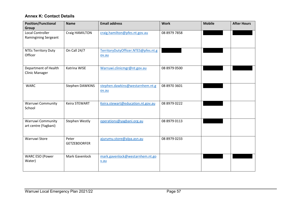## **Annex K: Contact Details**

<span id="page-56-0"></span>

| <b>Position/Functional</b>  | <b>Name</b>          | <b>Email address</b>                | <b>Work</b>  | <b>Mobile</b> | <b>After Hours</b> |
|-----------------------------|----------------------|-------------------------------------|--------------|---------------|--------------------|
| Group                       |                      |                                     |              |               |                    |
| <b>Local Controller</b>     | Craig HAMILTON       | craig.hamilton@pfes.nt.gov.au       | 08 8979 7858 |               |                    |
| <b>Ramingining Sergeant</b> |                      |                                     |              |               |                    |
|                             |                      |                                     |              |               |                    |
| <b>NTEs Territory Duty</b>  | On Call 24/7         | TerritoryDutyOfficer.NTES@pfes.nt.g |              |               |                    |
| Officer                     |                      | ov.au                               |              |               |                    |
|                             |                      |                                     |              |               |                    |
| Department of Health        | Katrina WISE         | Warruwi.clinicmgr@nt.gov.au         | 08 8979 0500 |               |                    |
| <b>Clinic Manager</b>       |                      |                                     |              |               |                    |
|                             |                      |                                     |              |               |                    |
| <b>WARC</b>                 | Stephen DAWKINS      | stephen.dawkins@westarnhem.nt.g     | 08 8970 3601 |               |                    |
|                             |                      | ov.au                               |              |               |                    |
|                             |                      |                                     |              |               |                    |
| <b>Warruwi Community</b>    | <b>Keira STEWART</b> | Keira.stewart@education.nt.gov.au   | 08 8979 0222 |               |                    |
| School                      |                      |                                     |              |               |                    |
|                             |                      |                                     |              |               |                    |
| Warruwi Community           | Stephen Westly       | operations@yagbani.org.au           | 08 8979 0113 |               |                    |
| art centre (Yagbani)        |                      |                                     |              |               |                    |
|                             |                      |                                     |              |               |                    |
|                             |                      |                                     |              |               |                    |
| Warruwi Store               | Peter                | ajurumu.store@alpa.asn.au           | 08 8979 0233 |               |                    |
|                             | <b>GETZEBDORFER</b>  |                                     |              |               |                    |
|                             |                      |                                     |              |               |                    |
| <b>WARC ESO (Power</b>      | Mark Gavenlock       | mark.gavenlock@westarnhem.nt.go     |              |               |                    |
| Water)                      |                      | v.au                                |              |               |                    |
|                             |                      |                                     |              |               |                    |
|                             |                      |                                     |              |               |                    |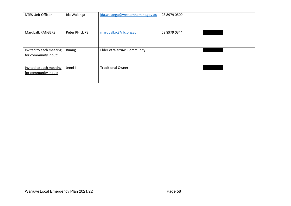| <b>NTES Unit Officer</b> | Ida Waianga    | ida.waianga@westarnhem.nt.gov.au  | 08 8979 0500 |  |
|--------------------------|----------------|-----------------------------------|--------------|--|
|                          |                |                                   |              |  |
| <b>Mardbalk RANGERS</b>  | Peter PHILLIPS | mardbalkrc@nlc.org.au             | 08 8979 0344 |  |
|                          |                |                                   |              |  |
| Invited to each meeting  | Bunug          | <b>Elder of Warruwi Community</b> |              |  |
| for community input:     |                |                                   |              |  |
| Invited to each meeting  | Jenni I        | <b>Traditional Owner</b>          |              |  |
| for community input:     |                |                                   |              |  |
|                          |                |                                   |              |  |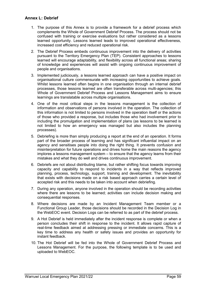#### <span id="page-58-0"></span>**Annex L: Debrief**

- 1. The purpose of this Annex is to provide a framework for a debrief process which complements the Whole of Government Debrief Process. The process should not be confused with training or exercise evaluations but rather considered as a lessons learned opportunity. Lessons learned leads to improved operational effectiveness, increased cost efficiency and reduced operational risk.
- 2. The Debrief Process embeds continuous improvement into the delivery of activities pursuant to the Territory Emergency Plan (TEP). Consistent approaches to lessons learned will encourage adaptability, and flexibility across all functional areas; sharing of knowledge and experiences will assist with ongoing continuous improvement of people and organisations.
- 3. Implemented judiciously, a lessons learned approach can have a positive impact on organisational culture commensurate with increasing opportunities to achieve goals. Whilst lessons learned often begins in one organisation through an internal debrief processes, those lessons learned are often transferable across multi-agencies; this Whole of Government Debrief Process and Lessons Management aims to ensure learnings are translatable across multiple organisations.
- 4. One of the most critical steps in the lessons management is the collection of information and observations of persons involved in the operation. The collection of this information is not limited to persons involved in the operation itself or the actions of those who provided a response, but includes those who had involvement prior to including the promulgation and implementation of plans (as lessons to be learned is not limited to how an emergency was managed but also includes the planning processes).
- 5. Debriefing is more than simply producing a report at the end of an operation. It forms part of the broader process of learning and has significant influential impact on an agency and sensitises people into doing the right thing. It prevents confusion and misinterpretation for future operations and drives home the main reasons the agency implores a lessons management system – to ensure that the agency learns from their mistakes and what they do well and drives continuous improvement.
- 6. Debriefs are not about distributing blame, but rather shifting focus towards improving capacity and capability to respond to incidents in a way that reflects improved planning, process, technology, support, training and development. The inevitability that exists with decisions made on a risk based approach carries a certain level of accepted risk and this needs to be taken into account when debriefing.
- 7. During any operation, anyone involved in the operation should be recording activities where there are lessons to be learned; activities can include decision making and consequential responses.
- 8. Where decisions are made by an Incident Management Team member or a Functional Group Leader, those decisions should be recorded in the Decision Log in the WebEOC event. Decision Logs can be referred to as part of the debrief process.
- 9. A Hot Debrief is held immediately after the incident response is complete or when a person concludes their shift in response to the incident. It allows rapid capture of real-time feedback aimed at addressing pressing or immediate concerns. This is a key time to address any health or safety issues and provides an opportunity for instant feedback.
- 10. The Hot Debrief will be fed into the Whole of Government Debrief Process and Lessons Management. For the purpose, the following template is to be used and uploaded to WebEOC.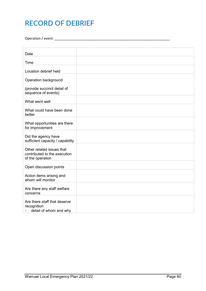## **RECORD OF DEBRIEF**

Operation / event: \_\_\_\_\_\_\_\_\_\_\_\_\_\_\_\_\_\_\_\_\_\_\_\_\_\_\_\_\_\_\_\_\_\_\_\_\_\_\_\_\_\_\_\_\_\_\_\_\_\_\_\_\_\_\_\_\_\_\_\_\_

| Date                                                                          |  |
|-------------------------------------------------------------------------------|--|
| Time                                                                          |  |
| Location debrief held                                                         |  |
| Operation background                                                          |  |
| (provide succinct detail of<br>sequence of events)                            |  |
| What went well                                                                |  |
| What could have been done<br>better                                           |  |
| What opportunities are there<br>for improvement                               |  |
| Did the agency have<br>sufficient capacity / capability                       |  |
| Other related issues that<br>contributed to the execution<br>of the operation |  |
| Open discussion points                                                        |  |
| Action items arising and<br>whom will monitor                                 |  |
| Are there any staff welfare<br>concerns                                       |  |
| Are there staff that deserve<br>recognition<br>detail of whom and why         |  |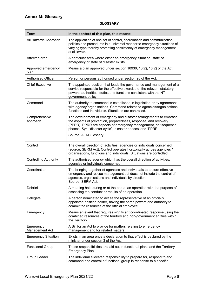#### **GLOSSARY**

<span id="page-60-0"></span>

| <b>Term</b>                  | In the context of this plan, this means:                                                                                                                                                                                                                                 |
|------------------------------|--------------------------------------------------------------------------------------------------------------------------------------------------------------------------------------------------------------------------------------------------------------------------|
| All Hazards Approach         | The application of one set of control, coordination and communication<br>policies and procedures in a universal manner to emergency situations of<br>varying type thereby promoting consistency of emergency management<br>at all levels.                                |
| Affected area                | A particular area where either an emergency situation, state of<br>emergency or state of disaster exists.                                                                                                                                                                |
| Approved emergency<br>plan   | Means a plan approved under section 10930, 13(2), 16(2) of the Act.                                                                                                                                                                                                      |
| Authorised Officer           | Person or persons authorised under section 98 of the Act.                                                                                                                                                                                                                |
| <b>Chief Executive</b>       | The appointed position that leads the governance and management of a<br>service responsible for the effective exercise of the relevant statutory<br>powers, authorities, duties and functions consistent with the NT<br>government policy.                               |
| Command                      | The authority to command is established in legislation or by agreement<br>with agency/organisations. Command relates to agencies/organisations,<br>functions and individuals. Situations are controlled.                                                                 |
| Comprehensive<br>approach    | The development of emergency and disaster arrangements to embrace<br>the aspects of prevention, preparedness, response, and recovery<br>(PPRR). PPRR are aspects of emergency management, not sequential<br>phases. Syn. 'disaster cycle', 'disaster phases' and 'PPRR'. |
|                              | Source: AEM Glossary                                                                                                                                                                                                                                                     |
| Control                      | The overall direction of activities, agencies or individuals concerned<br>(source; SERM Act). Control operates horizontally across agencies /<br>organisations, functions and individuals. Situations are controlled.                                                    |
| <b>Controlling Authority</b> | The authorised agency which has the overall direction of activities,<br>agencies or individuals concerned.                                                                                                                                                               |
| Coordination                 | The bringing together of agencies and individuals to ensure effective<br>emergency and rescue management but does not include the control of<br>agencies, organisations and individuals by direction.<br>Source: SERM Act.                                               |
| Debrief                      | A meeting held during or at the end of an operation with the purpose of<br>assessing the conduct or results of an operation.                                                                                                                                             |
| Delegate                     | A person nominated to act as the representative of an officially<br>appointed position holder, having the same powers and authority to<br>commit the resources of the official employee.                                                                                 |
| Emergency                    | Means an event that requires significant coordinated response using the<br>combined resources of the territory and non-government entities within<br>the Territory.                                                                                                      |
| Emergency<br>Management Act  | A Bill for an Act to provide for matters relating to emergency<br>management and for related matters.                                                                                                                                                                    |
| <b>Emergency Situation</b>   | Exists in an area once a declaration to that effect is declared by the<br>minister under section 3 of the Act.                                                                                                                                                           |
| <b>Functional Group</b>      | These responsibilities are laid out in functional plans and the Territory<br>Emergency Plan.                                                                                                                                                                             |
| Group Leader                 | The individual allocated responsibility to prepare for, respond to and<br>command and control a functional group in response to a specific                                                                                                                               |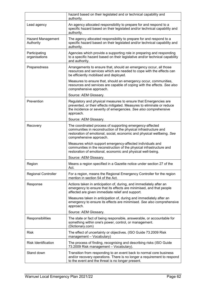|                                       | hazard based on their legislated and or technical capability and<br>authority.                                                                                                                                                    |
|---------------------------------------|-----------------------------------------------------------------------------------------------------------------------------------------------------------------------------------------------------------------------------------|
| Lead agency                           | An agency allocated responsibility to prepare for and respond to a<br>specific hazard based on their legislated and/or technical capability and<br>authority.                                                                     |
| <b>Hazard Management</b><br>Authority | The agency allocated responsibility to prepare for and respond to a<br>specific hazard based on their legislated and/or technical capability and<br>authority.                                                                    |
| Participating<br>organisations        | Agencies which provide a supporting role in preparing and responding<br>to a specific hazard based on their legislative and/or technical capability<br>and authority.                                                             |
| Preparedness                          | Arrangements to ensure that, should an emergency occur, all those<br>resources and services which are needed to cope with the effects can<br>be efficiently mobilised and deployed.                                               |
|                                       | Measures to ensure that, should an emergency occur, communities,<br>resources and services are capable of coping with the effects. See also<br>comprehensive approach.                                                            |
|                                       | Source: AEM Glossary.                                                                                                                                                                                                             |
| Prevention                            | Regulatory and physical measures to ensure that Emergencies are<br>prevented, or their effects mitigated. Measures to eliminate or reduce<br>the incidence or severity of emergencies. See also comprehensive<br>approach.        |
|                                       | Source: AEM Glossary.                                                                                                                                                                                                             |
| Recovery                              | The coordinated process of supporting emergency-affected<br>communities in reconstruction of the physical infrastructure and<br>restoration of emotional, social, economic and physical wellbeing. See<br>comprehensive approach. |
|                                       | Measures which support emergency-affected individuals and<br>communities in the reconstruction of the physical infrastructure and<br>restoration of emotional, economic and physical well-being.                                  |
|                                       | Source: AEM Glossary.                                                                                                                                                                                                             |
| Region                                | Means a region specified in a Gazette notice under section 27 of the<br>Act.                                                                                                                                                      |
| <b>Regional Controller</b>            | For a region, means the Regional Emergency Controller for the region<br>mention in section 54 of the Act.                                                                                                                         |
| Response                              | Actions taken in anticipation of, during, and immediately after an<br>emergency to ensure that its effects are minimised, and that people<br>affected are given immediate relief and support.                                     |
|                                       | Measures taken in anticipation of, during and immediately after an<br>emergency to ensure its effects are minimised. See also comprehensive<br>approach.                                                                          |
|                                       | Source: AEM Glossary.                                                                                                                                                                                                             |
| Responsibilities                      | The state or fact of being responsible, answerable, or accountable for<br>something within one's power, control, or management.<br>(Dictionary.com)                                                                               |
| Risk                                  | The effect of uncertainty or objectives. (ISO Guide 73.2009 Risk<br>management - Vocabulary)                                                                                                                                      |
| <b>Risk Identification</b>            | The process of finding, recognising and describing risks (ISO Guide<br>73.2009 Risk management - Vocabulary).                                                                                                                     |
| Stand down                            | Transition from responding to an event back to normal core business<br>and/or recovery operations. There is no longer a requirement to respond<br>to the event and the threat is no longer present.                               |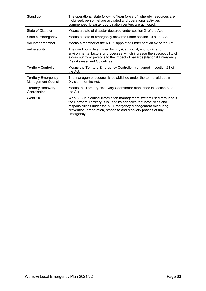| Stand up                                                | The operational state following "lean forward:" whereby resources are<br>mobilised, personnel are activated and operational activities<br>commenced. Disaster coordination centers are activated.                                                                                       |
|---------------------------------------------------------|-----------------------------------------------------------------------------------------------------------------------------------------------------------------------------------------------------------------------------------------------------------------------------------------|
| State of Disaster                                       | Means a state of disaster declared under section 21of the Act.                                                                                                                                                                                                                          |
| State of Emergency                                      | Means a state of emergency declared under section 19 of the Act.                                                                                                                                                                                                                        |
| Volunteer member                                        | Means a member of the NTES appointed under section 52 of the Act.                                                                                                                                                                                                                       |
| Vulnerability                                           | The conditions determined by physical, social, economic and<br>environmental factors or processes, which increase the susceptibility of<br>a community or persons to the impact of hazards (National Emergency<br>Risk Assessment Guidelines).                                          |
| <b>Territory Controller</b>                             | Means the Territory Emergency Controller mentioned in section 28 of<br>the Act.                                                                                                                                                                                                         |
| <b>Territory Emergency</b><br><b>Management Council</b> | The management council is established under the terms laid out in<br>Division 4 of the Act.                                                                                                                                                                                             |
| <b>Territory Recovery</b><br>Coordinator                | Means the Territory Recovery Coordinator mentioned in section 32 of<br>the Act.                                                                                                                                                                                                         |
| WebEOC                                                  | WebEOC is a critical information management system used throughout<br>the Northern Territory. It is used by agencies that have roles and<br>responsibilities under the NT Emergency Management Act during<br>prevention, preparation, response and recovery phases of any<br>emergency. |